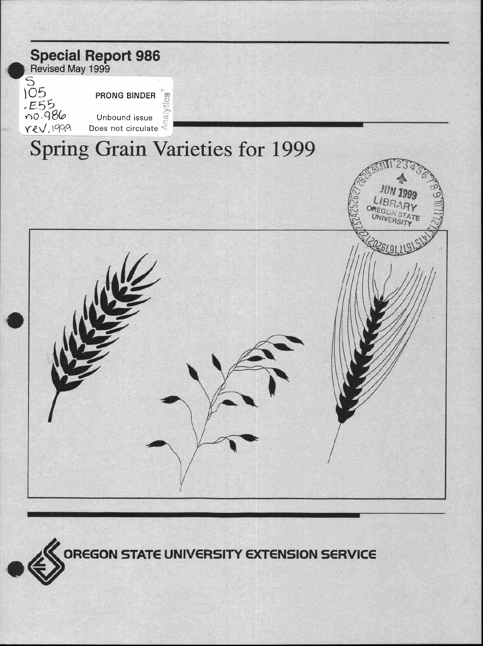

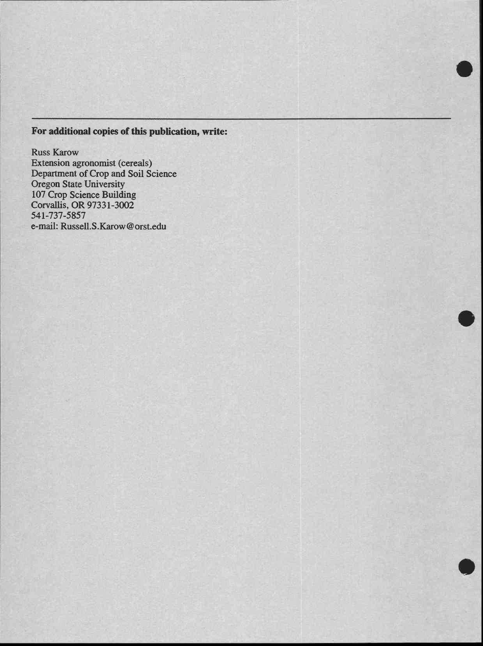# For additional copies of this publication, write:

Russ Karow Extension agronomist (cereals) Department of Crop and Soil Science Oregon State University 107 Crop Science Building Corvallis, OR 97331-3002 541-737-5857 e-mail: Russell.S.Karow@orst.edu

V-



0

i

Y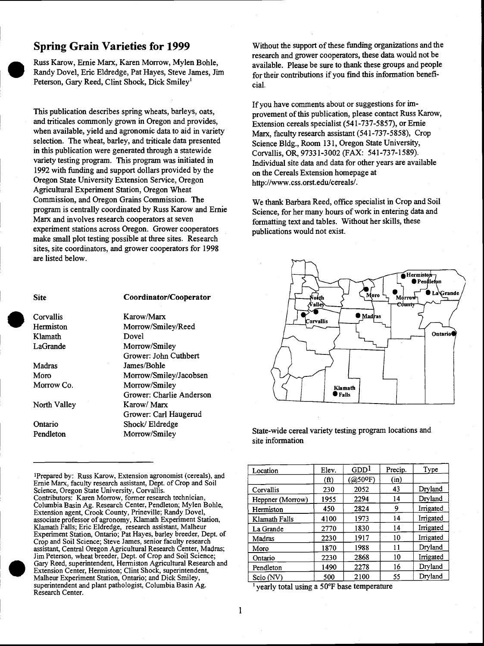# Spring Grain Varieties for 1999

Russ Karow, Ernie Marx, Karen Morrow, Mylen Bohle, Randy Dovel, Eric Eldredge, Pat Hayes, Steve James, Jim Peterson, Gary Reed, Clint Shock, Dick Smiley'

This publication describes spring wheats, barleys, oats, and triticales commonly grown in Oregon and provides, when available, yield and agronomic data to aid in variety selection. The wheat, barley, and triticale data presented in this publication were generated through a statewide variety testing program. This program was initiated in 1992 with funding and support dollars provided by the Oregon State University Extension Service, Oregon Agricultural Experiment Station, Oregon Wheat Commission, and Oregon Grains Commission. The program is centrally coordinated by Russ Karow and Ernie Marx and involves research cooperators at seven experiment stations across Oregon. Grower cooperators make small plot testing possible at three sites. Research sites, site coordinators, and grower cooperators for 1998 are listed below.

Site Coordinator/Cooperator

Grower: John Cuthbert

Grower: Charlie Anderson

Grower: Carl Haugerud

Hermiston Morrow/Smiley/Reed

Moro Morrow/Smiley/Jacobsen

Corvallis Karow/Marx

LaGrande Morrow/Smiley

Morrow Co. Morrow/Smiley

Ontario Shock/ Eldredge Pendleton Morrow/Smiley

North Valley Karow/ Marx

Madras James/Bohle

Klamath Dovel

Without the support of these funding organizations and the research and grower cooperators, these data would not be available. Please be sure to thank these groups and people for their contributions if you find this information beneficial.

If you have comments about or suggestions for improvement of this publication, please contact Russ Karow, Extension cereals specialist (541-737-5857), or Ernie Marx, faculty research assistant (541-737-5858), Crop Science Bldg., Room 131, Oregon State University, Corvallis, OR, 97331-3002 (FAX: 541-737-1589). Individual site data and data for other years are available on the Cereals Extension homepage at http://www.css.orst.edu/cereals/.

We thank Barbara Reed, office specialist in Crop and Soil Science, for her many hours of work in entering data and formatting text and tables. Without her skills, these publications would not exist.



State-wide cereal variety testing program locations and site information

| Location         | Elev. | GDD <sup>1</sup> | Precip. | Type      |
|------------------|-------|------------------|---------|-----------|
|                  | (ft)  | $(a)50^{\circ}F$ | (in)    |           |
| Corvallis        | 230   | 2052             | 43      | Dryland   |
| Heppner (Morrow) | 1955  | 2294             | 14      | Dryland   |
| Hermiston        | 450   | 2824             | 9       | Irrigated |
| Klamath Falls    | 4100  | 1973             | 14      | Irrigated |
| La Grande        | 2770  | 1830             | 14      | Irrigated |
| Madras           | 2230  | 1917             | 10      | Irrigated |
| Moro             | 1870  | 1988             | 11      | Dryland   |
| Ontario          | 2230  | 2868             | 10      | Irrigated |
| Pendleton        | 1490  | 2278             | 16      | Dryland   |
| Scio (NV)        | 500   | 2100             | 55      | Dryland   |

' yearly total using a 50°F base temperature

<sup>&#</sup>x27;Prepared by: Russ Karow, Extension agronomist (cereals), and Ernie Marx, faculty research assistant, Dept. of Crop and Soil Science, Oregon State University, Corvallis. Contributors: Karen Morrow, former research technician, Columbia Basin Ag. Research Center, Pendleton; Mylen Bohle, Extension agent, Crook County, Prineville; Randy Dovel, associate professor of agronomy, Klamath Experiment Station, Klamath Falls; Eric Eldredge, research assistant, Malheur Experiment Station, Ontario; Pat Hayes, barley breeder, Dept. of Crop and Soil Science; Steve James, senior faculty research assistant, Central Oregon Agricultural Research Center, Madras; Jim Peterson, wheat breeder, Dept. of Crop and Soil Science; Gary Reed, superintendent, Hermiston Agricultural Research and Extension Center, Hermiston; Clint Shock, superintendent, Malheur Experiment Station, Ontario; and Dick Smiley, superintendent and plant pathologist, Columbia Basin Ag. Research Center.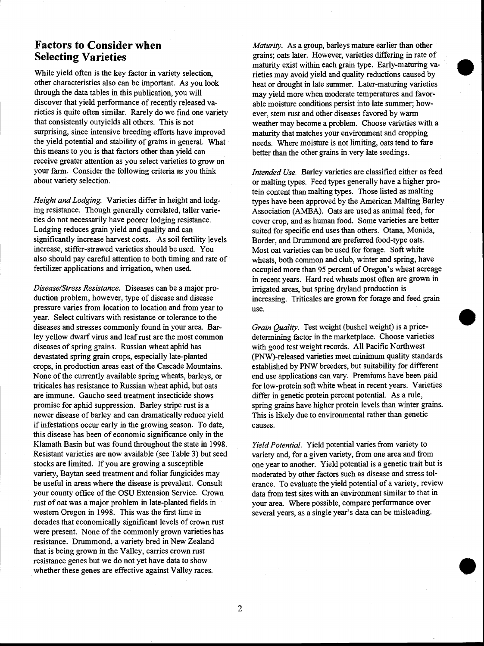# Factors to Consider when Selecting Varieties

While yield often is the key factor in variety selection, other characteristics also can be important. As you look through the data tables in this publication, you will discover that yield performance of recently released varieties is quite often similar. Rarely do we find one variety that consistently outyields all others. This is not surprising, since intensive breeding efforts have improved the yield potential and stability of grains in general. What this means to you is that factors other than yield can receive greater attention as you select varieties to grow on your farm. Consider the following criteria as you think about variety selection.

Height and Lodging. Varieties differ in height and lodging resistance. Though generally correlated, taller varieties do not necessarily have poorer lodging resistance. Lodging reduces grain yield and quality and can significantly increase harvest costs. As soil fertility levels increase, stiffer-strawed varieties should be used. You also should pay careful attention to both timing and rate of fertilizer applications and irrigation, when used.

Disease/Stress Resistance. Diseases can be a major production problem; however, type of disease and disease pressure varies from location to location and from year to year. Select cultivars with resistance or tolerance to the diseases and stresses commonly found in your area. Barley yellow dwarf virus and leaf rust are the most common diseases of spring grains. Russian wheat aphid has devastated spring grain crops, especially late-planted crops, in production areas east of the Cascade Mountains. None of the currently available spring wheats, barleys, or triticales has resistance to Russian wheat aphid, but oats are immune. Gaucho seed treatment insecticide shows promise for aphid suppression. Barley stripe rust is a newer disease of barley and can dramatically reduce yield if infestations occur early in the growing season. To date, this disease has been of economic significance only in the Klamath Basin but was found throughout the state in 1998. Resistant varieties are now available (see Table 3) but seed stocks are limited. If you are growing a susceptible variety, Baytan seed treatment and foliar fungicides may be useful in areas where the disease is prevalent. Consult your county office of the OSU Extension Service. Crown rust of oat was a major problem in late-planted fields in western Oregon in 1998. This was the first time in decades that economically significant levels of crown rust were present. None of the commonly grown varieties has resistance. Drummond, a variety bred in New Zealand that is being grown in the Valley, carries crown rust resistance genes but we do not yet have data to show whether these genes are effective against Valley races.

Maturity. As a group, barleys mature earlier than other grains; oats later. However, varieties differing in rate of maturity exist within each grain type. Early-maturing varieties may avoid yield and quality reductions caused by heat or drought in late summer. Later-maturing varieties may yield more when moderate temperatures and favorable moisture conditions persist into late summer; however, stem rust and other diseases favored by warm weather may become a problem. Choose varieties with a maturity that matches your environment and cropping needs. Where moisture is not limiting, oats tend to fare better than the other grains in very late seedings.

Intended Use. Barley varieties are classified either as feed or malting types. Feed types generally have a higher protein content than malting types. Those listed as malting types have been approved by the American Malting Barley Association (AMBA). Oats are used as animal feed, for cover crop, and as human food. Some varieties are better suited for specific end uses than others. Otana, Monida, Border, and Drummond are preferred food-type oats. Most oat varieties can be used for forage. Soft white wheats, both common and club, winter and spring, have occupied more than 95 percent of Oregon's wheat acreage in recent years. Hard red wheats most often are grown in irrigated areas, but spring dryland production is increasing. Triticales are grown for forage and feed grain use.

Grain Quality. Test weight (bushel weight) is a pricedetermining factor in the marketplace. Choose varieties with good test weight records. All Pacific Northwest (PNW)-released varieties meet minimum quality standards established by PNW breeders, but suitability for different end use applications can vary. Premiums have been paid for low-protein soft white wheat in recent years. Varieties differ in genetic protein percent potential. As a rule, spring grains have higher protein levels than winter grains. This is likely due to environmental rather than genetic causes.

Yield Potential. Yield potential varies from variety to variety and, for a given variety, from one area and from one year to another. Yield potential is a genetic trait but is moderated by other factors such as disease and stress tolerance. To evaluate the yield potential of a variety, review data from test sites with an environment similar to that in your area. Where possible, compare performance over several years, as a single year's data can be misleading.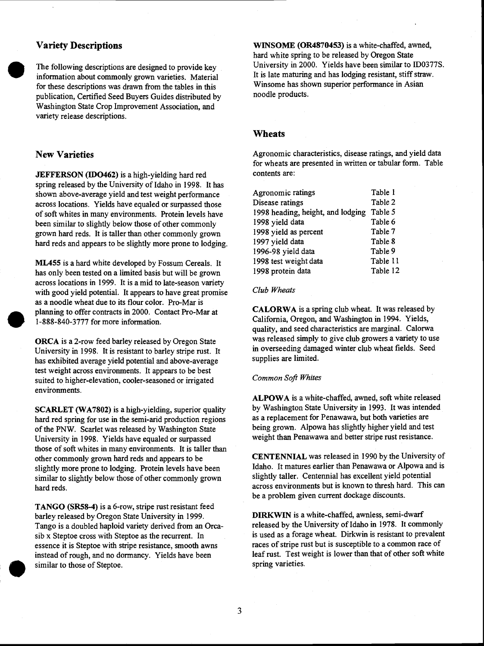## Variety Descriptions

The following descriptions are designed to provide key information about commonly grown varieties. Material for these descriptions was drawn from the tables in this publication, Certified Seed Buyers Guides distributed by Washington State Crop Improvement Association, and variety release descriptions.

### New Varieties

JEFFERSON (IDO462) is a high-yielding hard red spring released by the University of Idaho in 1998. It has shown above-average yield and test weight performance across locations. Yields have equaled or surpassed those of soft whites in many environments. Protein levels have been similar to slightly below those of other commonly grown hard reds. It is taller than other commonly grown hard reds and appears to be slightly more prone to lodging.

ML455 is a hard white developed by Fossum Cereals. It has only been tested on a limited basis but will be grown across locations in 1999. It is a mid to late-season variety with good yield potential. It appears to have great promise as a noodle wheat due to its flour color. Pro-Mar is planning to offer contracts in 2000. Contact Pro-Mar at 1-888-840-3777 for more information.

ORCA is a 2-row feed barley released by Oregon State University in 1998. It is resistant to barley stripe rust. It has exhibited average yield potential and above-average test weight across environments. It appears to be best suited to higher-elevation, cooler-seasoned or irrigated environments.

SCARLET (WA7802) is a high-yielding, superior quality hard red spring for use in the semi-arid production regions of the PNW. Scarlet was released by Washington State University in 1998. Yields have equaled or surpassed those of soft whites in many environments. It is taller than other commonly grown hard reds and appears to be slightly more prone to lodging. Protein levels have been similar to slightly below those of other commonly grown hard reds.

TANGO (SR58-4) is a 6-row, stripe rust resistant feed barley released by Oregon State University in 1999. Tango is a doubled haploid variety derived from an Orcasib x Steptoe cross with Steptoe as the recurrent. In essence it is Steptoe with stripe resistance, smooth awns instead of rough, and no dormancy. Yields have been similar to those of Steptoe.

WINSOME (0R4870453) is a white-chaffed, awned, hard white spring to be released by Oregon State University in 2000. Yields have been similar to ID0377S. It is late maturing and has lodging resistant, stiff straw. Winsome has shown superior performance in Asian noodle products.

#### **Wheats**

Agronomic characteristics, disease ratings, and yield data for wheats are presented in written or tabular form. Table contents are:

| Table 1  |
|----------|
| Table 2  |
| Table 5  |
| Table 6  |
| Table 7  |
| Table 8  |
| Table 9  |
| Table 11 |
| Table 12 |
|          |

#### Club Wheats

CALORWA is a spring club wheat. It was released by California, Oregon, and Washington in 1994. Yields, quality, and seed characteristics are marginal. Calorwa was released simply to give club growers a variety to use in overseeding damaged winter club wheat fields. Seed supplies are limited.

#### Common Soft Whites

ALPOWA is a white-chaffed, awned, soft white released by Washington State University in 1993. It was intended as a replacement for Penawawa, but both varieties are being grown. Alpowa has slightly higher yield and test weight than Penawawa and better stripe rust resistance.

CENTENNIAL was released in 1990 by the University of Idaho. It matures earlier than Penawawa or Alpowa and is slightly taller. Centennial has excellent yield potential across environments but is known to thresh hard. This can be a problem given current dockage discounts.

DIRKWIN is a white-chaffed, awnless, semi-dwarf released by the University of Idaho in 1978. It commonly is used as a forage wheat. Dirkwin is resistant to prevalent races of stripe rust but is susceptible to a common race of leaf rust. Test weight is lower than that of other soft white spring varieties.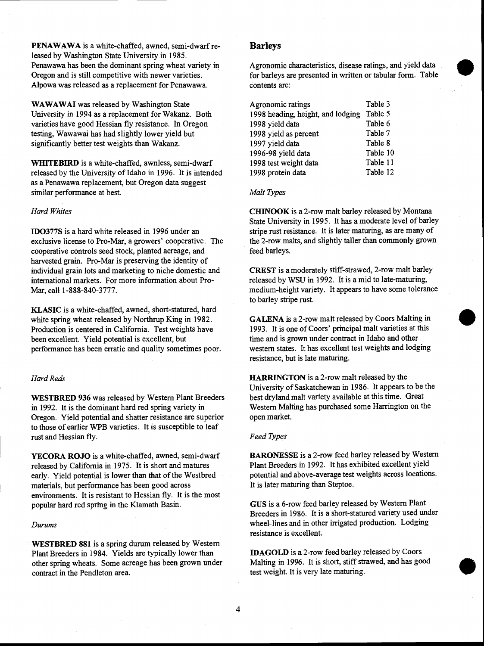PENAWAWA is a white-chaffed, awned, semi-dwarf released by Washington State University in 1985. Penawawa has been the dominant spring wheat variety in Oregon and is still competitive with newer varieties. Alpowa was released as a replacement for Penawawa.

WAWAWAI was released by Washington State University in 1994 as a replacement for Wakanz. Both varieties have good Hessian fly resistance. In Oregon testing, Wawawai has had slightly lower yield but significantly better test weights than Wakanz.

WHITEBIRD is a white-chaffed, awnless, semi-dwarf released by the University of Idaho in 1996. It is intended as a Penawawa replacement, but Oregon data suggest similar performance at best.

#### Hard Whites

ID0377S is a hard white released in 1996 under an exclusive license to Pro-Mar, a growers' cooperative. The cooperative controls seed stock, planted acreage, and harvested grain. Pro-Mar is preserving the identity of individual grain lots and marketing to niche domestic and international markets. For more information about Pro-Mar, call 1-888-840-3777.

KLASIC is a white-chaffed, awned, short-statured, hard white spring wheat released by Northrup King in 1982. Production is centered in California. Test weights have been excellent. Yield potential is excellent, but performance has been erratic and quality sometimes poor.

#### Hard Reds

WESTBRED 936 was released by Western Plant Breeders in 1992. It is the dominant hard red spring variety in Oregon. Yield potential and shatter resistance are superior to those of earlier WPB varieties. It is susceptible to leaf rust and Hessian fly.

YECORA ROJO is a white-chaffed, awned, semi-dwarf released by California in 1975. It is short and matures early. Yield potential is lower than that of the Westbred materials, but performance has been good across environments. It is resistant to Hessian fly. It is the most popular hard red spring in the Klamath Basin.

#### Durums

WESTBRED 881 is a spring durum released by Western Plant Breeders in 1984. Yields are typically lower than other spring wheats. Some acreage has been grown under contract in the Pendleton area.

### Barleys

Agronomic characteristics, disease ratings, and yield data for barleys are presented in written or tabular form. Table contents are:

| Agronomic ratings                 | Table 3  |
|-----------------------------------|----------|
| 1998 heading, height, and lodging | Table 5  |
| 1998 yield data                   | Table 6  |
| 1998 yield as percent             | Table 7  |
| 1997 yield data                   | Table 8  |
| 1996-98 yield data                | Table 10 |
| 1998 test weight data             | Table 11 |
| 1998 protein data                 | Table 12 |

#### Malt Types

CHINOOK is a 2-row malt barley released by Montana State University in 1995. It has a moderate level of barley stripe rust resistance. It is later maturing, as are many of the 2-row malts, and slightly taller than commonly grown feed barleys.

CREST is a moderately stiff-strawed, 2-row malt barley released by WSU in 1992. It is a mid to late-maturing, medium-height variety. It appears to have some tolerance to barley stripe rust.

GALENA is a 2-row malt released by Coors Malting in 1993. It is one of Coors' principal malt varieties at this time and is grown under contract in Idaho and other western states. It has excellent test weights and lodging resistance, but is late maturing.

HARRINGTON is a 2-row malt released by the University of Saskatchewan in 1986. It appears to be the best dryland malt variety available at this time. Great Western Malting has purchased some Harrington on the open market.

#### Feed Types

BARONESSE is a 2-row feed barley released by Western Plant Breeders in 1992. It has exhibited excellent yield potential and above-average test weights across locations. It is later maturing than Steptoe.

GUS is a 6-row feed barley released by Western Plant Breeders in 1986. It is a short-statured variety used under wheel-lines and in other irrigated production. Lodging resistance is excellent.

IDAGOLD is a 2-row feed barley released by Coors Malting in 1996. It is short, stiff strawed, and has good test weight. It is very late maturing.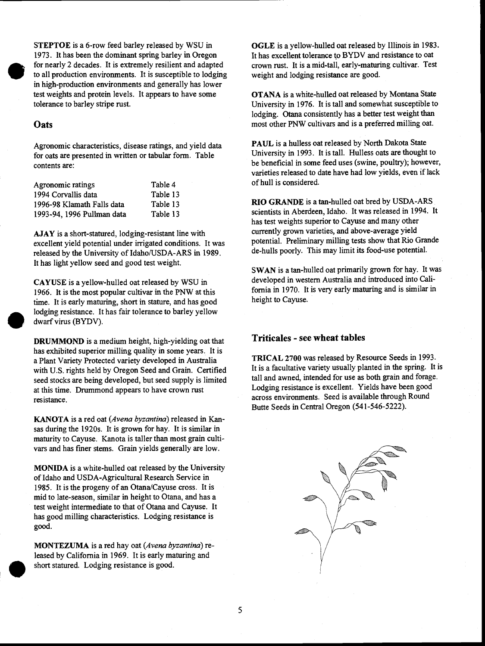1973. It has been the dominant spring barley<br>for nearly 2 decades. It is extremely resilien<br>to all production environments. It is suscept<br>in high-production environments and genera STEPTOE is a 6-row feed barley released by WSU in 1973. It has been the dominant spring barley in Oregon for nearly 2 decades. It is extremely resilient and adapted to all production environments. It is susceptible to lodging in high-production environments and generally has lower test weights and protein levels. It appears to have some tolerance to barley stripe rust.

### **Oats**

Agronomic characteristics, disease ratings, and yield data for oats are presented in written or tabular form. Table contents are:

| Agronomic ratings          | Table 4  |  |
|----------------------------|----------|--|
| 1994 Corvallis data        | Table 13 |  |
| 1996-98 Klamath Falls data | Table 13 |  |
| 1993-94, 1996 Pullman data | Table 13 |  |

AJAY is a short-statured, lodging-resistant line with excellent yield potential under irrigated conditions. It was released by the University of Idaho/USDA-ARS in 1989. It has light yellow seed and good test weight.

CAYUSE is a yellow-hulled oat released by WSU in 1966. It is the most popular cultivar in the PNW at this time. It is early maturing, short in stature, and has good lodging resistance. It has fair tolerance to barley yellow dwarf virus (BYDV).

DRUMMOND is a medium height, high-yielding oat that has exhibited superior milling quality in some years. It is a Plant Variety Protected variety developed in Australia with U.S. rights held by Oregon Seed and Grain. Certified seed stocks are being developed, but seed supply is limited at this time. Drummond appears to have crown rust resistance.

KANOTA is a red oat (Avena byzantina) released in Kansas during the 1920s. It is grown for hay. It is similar in maturity to Cayuse. Kanota is taller than most grain cultivars and has finer stems. Grain yields generally are low.

MONIDA is a white-hulled oat released by the University of Idaho and USDA-Agricultural Research Service in 1985. It is the progeny of an Otana/Cayuse cross. It is mid to late-season, similar in height to Otana, and has a test weight intermediate to that of Otana and Cayuse. It has good milling characteristics. Lodging resistance is good.

MONTEZUMA is a red hay oat (Avena byzantina) released by California in 1969. It is early maturing and short statured. Lodging resistance is good.

OGLE is a yellow-hulled oat released by Illinois in 1983. It has excellent tolerance to BYDV and resistance to oat crown rust. It is a mid-tall, early-maturing cultivar. Test weight and lodging resistance are good.

OTANA is a white-hulled oat released by Montana State University in 1976. It is tall and somewhat susceptible to lodging. Otana consistently has a better test weight than most other PNW cultivars and is a preferred milling oat.

PAUL is a hulless oat released by North Dakota State University in 1993. It istall. Hulless oats are thought to be beneficial in some feed uses (swine, poultry); however, varieties released to date have had low yields, even if lack of hull is considered.

RIO GRANDE is a tan-hulled oat bred by USDA-ARS scientists in Aberdeen, Idaho. It was released in 1994. It has test weights superior to Cayuse and many other currently grown varieties, and above-average yield potential. Preliminary milling tests show that Rio Grande de-hulls poorly. This may limit its food-use potential.

SWAN is a tan-hulled oat primarily grown for hay. It was developed in western Australia and introduced into California in 1970. It is very early maturing and is similar in height to Cayuse.

### Triticales - see wheat tables

TRICAL 2700 was released by Resource Seeds in 1993. It is a facultative variety usually planted in the spring. It is tall and awned, intended for use as both grain and forage. Lodging resistance is excellent. Yields have been good across environments. Seed is available through Round Butte Seeds in Central Oregon (541-546-5222).

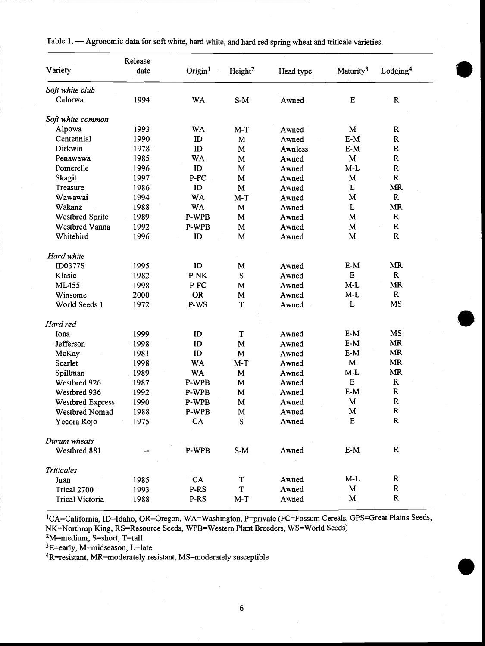|                         | Release |                        |                     |           |                       |                      |
|-------------------------|---------|------------------------|---------------------|-----------|-----------------------|----------------------|
| Variety                 | date    | $O$ rigin <sup>1</sup> | Height <sup>2</sup> | Head type | Maturity <sup>3</sup> | Lodging <sup>4</sup> |
| Soft white club         |         |                        |                     |           |                       |                      |
| Calorwa                 | 1994    | WA                     | $S-M$               | Awned     | $\mathbf E$           | ${\bf R}$            |
| Soft white common       |         |                        |                     |           |                       |                      |
| Alpowa                  | 1993    | <b>WA</b>              | $M-T$               | Awned     | M                     | $\mathbf R$          |
| Centennial              | 1990    | ID                     | $\mathbf M$         | Awned     | $E-M$                 | $\mathbf R$          |
| Dirkwin                 | 1978    | ID                     | M                   | Awnless   | $E-M$                 | ${\bf R}$            |
| Penawawa                | 1985    | WA                     | $\mathbf M$         | Awned     | M                     | ${\bf R}$            |
| Pomerelle               | 1996    | ID                     | $\mathbf M$         | Awned     | $M-L$                 | $\mathbf R$          |
| Skagit                  | 1997    | P-FC                   | M                   | Awned     | $\mathbf M$           | ${\bf R}$            |
| Treasure                | 1986    | ID                     | $\mathbf M$         | Awned     | L                     | <b>MR</b>            |
| Wawawai                 | 1994    | <b>WA</b>              | $M-T$               | Awned     | M                     | $\mathbf R$          |
| Wakanz                  | 1988    | WA                     | $\mathbf M$         | Awned     | L                     | <b>MR</b>            |
| Westbred Sprite         | 1989    | P-WPB                  | M                   | Awned     | M                     | $\mathbf{R}$         |
| Westbred Vanna          | 1992    | P-WPB                  | $\mathbf M$         | Awned     | M                     | ${\bf R}$            |
| Whitebird               | 1996    | ID                     | $\mathbf M$         | Awned     | M                     | ${\bf R}$            |
| Hard white              |         |                        |                     |           |                       |                      |
| <b>ID0377S</b>          | 1995    | ID                     | M                   | Awned     | $E-M$                 | <b>MR</b>            |
| Klasic                  | 1982    | P-NK                   | S                   | Awned     | $\mathbf E$           | $\mathbf R$          |
| ML455                   | 1998    | P-FC                   | M                   | Awned     | $M-L$                 | <b>MR</b>            |
| Winsome                 | 2000    | <b>OR</b>              | $\mathbf M$         | Awned     | $M-L$                 | $\mathbf{R}$         |
| World Seeds 1           | 1972    | P-WS                   | T                   | Awned     | L                     | MS                   |
| Hard red                |         |                        |                     |           |                       |                      |
| Iona                    | 1999    | ID                     | T                   | Awned     | $E-M$                 | MS                   |
| Jefferson               | 1998    | ID                     | M                   | Awned     | $E-M$                 | <b>MR</b>            |
| McKay                   | 1981    | ID                     | $\mathbf M$         | Awned     | $E-M$                 | <b>MR</b>            |
| Scarlet                 | 1998    | <b>WA</b>              | $M-T$               | Awned     | M                     | <b>MR</b>            |
| Spillman                | 1989    | WA                     | M                   | Awned     | $M-L$                 | <b>MR</b>            |
| Westbred 926            | 1987    | P-WPB                  | M                   | Awned     | ${\bf E}$             | $\mathbf R$          |
| Westbred 936            | 1992    | P-WPB                  | M                   | Awned     | $E-M$                 | $\mathbf R$          |
| <b>Westbred Express</b> | 1990    | P-WPB                  | M                   | Awned     | $\mathbf M$           | $\mathbf R$          |
| Westbred Nomad          | 1988    | P-WPB                  | M                   | Awned     | M                     | ${\bf R}$            |
| Yecora Rojo             | 1975    | CA                     | S                   | Awned     | $\mathbf E$           | ${\bf R}$            |
| Durum wheats            |         |                        |                     |           |                       |                      |
| Westbred 881            |         | P-WPB                  | $S-M$               | Awned     | $E-M$                 | $\mathbf R$          |
| <b>Triticales</b>       |         |                        |                     |           |                       |                      |
| Juan                    | 1985    | CA                     | T                   | Awned     | $M-L$                 | $\mathbf R$          |
| Trical 2700             | 1993    | P-RS                   | T                   | Awned     | M                     | $\mathbf R$          |
| <b>Trical Victoria</b>  | 1988    | P-RS                   | $M-T$               | Awned     | M                     | $\mathbf R$          |

Table 1. - Agronomic data for soft white, hard white, and hard red spring wheat and triticale varieties.

1CA=California, ID=Idaho, OR=Oregon, WA=Washington, P=private (FC=Fossum Cereals, GPS=Great Plains Seeds, NK=Northrop King, RS=Resource Seeds, WPB=Western Plant Breeders, WS=World Seeds)

 $2M$ =medium, S=short, T=tall

<sup>3</sup>E=early, M=midseason, L=late

4R=resistant, MR=moderately resistant, MS=moderately susceptible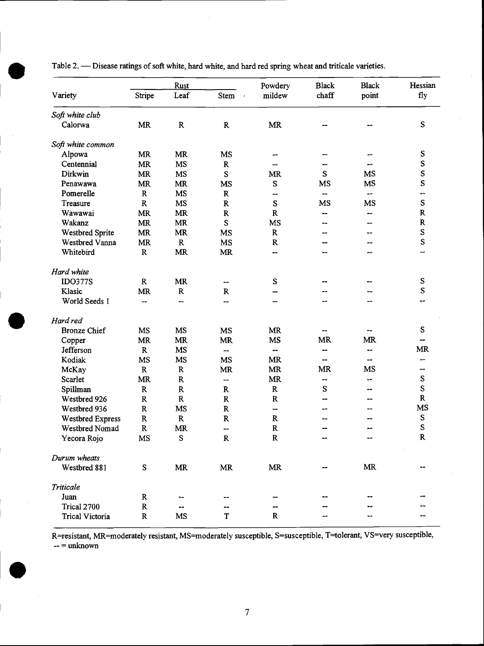|                     |                                 | <b>Rust</b>                       |                                   | Powdery                           | <b>Black</b> | <b>Black</b>                      | Hessian       |
|---------------------|---------------------------------|-----------------------------------|-----------------------------------|-----------------------------------|--------------|-----------------------------------|---------------|
| Variety             | Stripe                          | Leaf                              | Stem<br>$\mathcal{L}$             | mildew                            | chaff        | point                             | fly           |
| Soft white club     |                                 |                                   |                                   |                                   |              |                                   |               |
| Calorwa             | <b>MR</b>                       | ${\bf R}$                         | ${\bf R}$                         | $\ensuremath{\text{MR}}\xspace$   |              |                                   | ${\bf S}$     |
| Soft white common   |                                 |                                   |                                   |                                   |              |                                   |               |
| Alpowa              | MR                              | MR                                | MS                                |                                   |              |                                   | S             |
| Centennial          | MR                              | <b>MS</b>                         | ${\bf R}$                         |                                   |              |                                   | S             |
| Dirkwin             | <b>MR</b>                       | $\overline{\text{MS}}$            | S                                 | <b>MR</b>                         | S            | <b>MS</b>                         | S             |
| Penawawa            | <b>MR</b>                       | $\ensuremath{\mathbf{MR}}\xspace$ | MS                                | S                                 | <b>MS</b>    | <b>MS</b>                         | ${\mathbb S}$ |
| Pomerelle           | $\mathbf{R}$                    | <b>MS</b>                         | ${\bf R}$                         | --                                | --           | --                                | --            |
| Treasure            | $\mathbf R$                     | $\mathbf{M}\mathbf{S}$            | $\mathbf R$                       | S                                 | MS           | <b>MS</b>                         | ${\bf S}$     |
| Wawawai             | <b>MR</b>                       | $\ensuremath{\text{MR}}\xspace$   | ${\bf R}$                         | ${\bf R}$                         | --           | --                                | ${\bf R}$     |
| Wakanz              | <b>MR</b>                       | <b>MR</b>                         | S                                 | MS                                | --           | --                                | ${\bf R}$     |
| Westbred Sprite     | <b>MR</b>                       | <b>MR</b>                         | MS                                | ${\bf R}$                         |              | --                                | ${\bf S}$     |
| Westbred Vanna      | MR                              | $\mathbf R$                       | MS                                | ${\bf R}$                         |              |                                   | ${\bf S}$     |
| Whitebird           | $\mathbf R$                     | $\ensuremath{\mathbf{MR}}\xspace$ | <b>MR</b>                         | --                                |              |                                   | man.          |
| Hard white          |                                 |                                   |                                   |                                   |              |                                   |               |
| <b>IDO377S</b>      | $\mathbf R$                     | MR                                | --                                | S                                 |              |                                   | ${\bf S}$     |
| Klasic              | $\ensuremath{\text{MR}}\xspace$ | $\mathbf R$                       | ${\bf R}$                         | --                                |              |                                   | ${\bf S}$     |
| World Seeds 1       | --                              | --                                | --                                | --                                |              |                                   | --            |
| Hard red            |                                 |                                   |                                   |                                   |              |                                   |               |
| <b>Bronze</b> Chief | <b>MS</b>                       | <b>MS</b>                         | MS                                | $\ensuremath{\mathbf{MR}}\xspace$ |              |                                   | ${\bf S}$     |
| Copper              | <b>MR</b>                       | <b>MR</b>                         | $\ensuremath{\mathbf{MR}}\xspace$ | <b>MS</b>                         | <b>MR</b>    | MR                                |               |
| Jefferson           | $\mathbf R$                     | <b>MS</b>                         | $\overline{\phantom{a}}$          | --                                | --           | --                                | <b>MR</b>     |
| Kodiak              | <b>MS</b>                       | <b>MS</b>                         | MS                                | <b>MR</b>                         | --           | --                                |               |
| McKay               | $\mathbf R$                     | $\mathbf R$                       | <b>MR</b>                         | MR                                | MR           | MS                                | --            |
| Scarlet             | $\ensuremath{\text{MR}}\xspace$ | ${\bf R}$                         | $\ddot{\phantom{1}}$              | MR                                | --           | --                                | S             |
| Spillman            | ${\bf R}$                       | ${\bf R}$                         | $\mathbf R$                       | ${\bf R}$                         | S            |                                   | ${\bf S}$     |
| Westbred 926        | $\mathbf R$                     | $\mathbf R$                       | $\mathbf R$                       | ${\bf R}$                         | --           |                                   | $\mathbf R$   |
| Westbred 936        | ${\bf R}$                       | <b>MS</b>                         | $\mathbf R$                       | --                                | --           | --                                | <b>MS</b>     |
| Westbred Express    | ${\bf R}$                       | ${\bf R}$                         | ${\bf R}$                         | ${\bf R}$                         |              |                                   | ${\bf S}$     |
| Westbred Nomad      | $\mathbf R$                     | <b>MR</b>                         |                                   | ${\bf R}$                         |              |                                   | ${\bf S}$     |
| Yecora Rojo         | <b>MS</b>                       | ${\bf S}$                         | ${\bf R}$                         | ${\bf R}$                         |              |                                   | ${\bf R}$     |
| Durum wheats        |                                 |                                   |                                   |                                   |              |                                   |               |
| Westbred 881        | ${\bf S}$                       | MR                                | $\ensuremath{\mathbf{MR}}\xspace$ | <b>MR</b>                         |              | $\ensuremath{\mathbf{MR}}\xspace$ |               |
| Triticale           |                                 |                                   |                                   |                                   |              |                                   |               |
| Juan                | $\mathbf R$                     |                                   |                                   |                                   |              |                                   |               |
| Trical 2700         | ${\bf R}$                       |                                   |                                   |                                   |              |                                   |               |
| Trical Victoria     | ${\bf R}$                       | MS                                | ${\bf T}$                         | $\mathbf R$                       | --           | --                                |               |

R=resistant, MR=moderately resistant, MS=moderately susceptible, S=susceptible, T=tolerant, VS=very susceptible,  $--$  unknown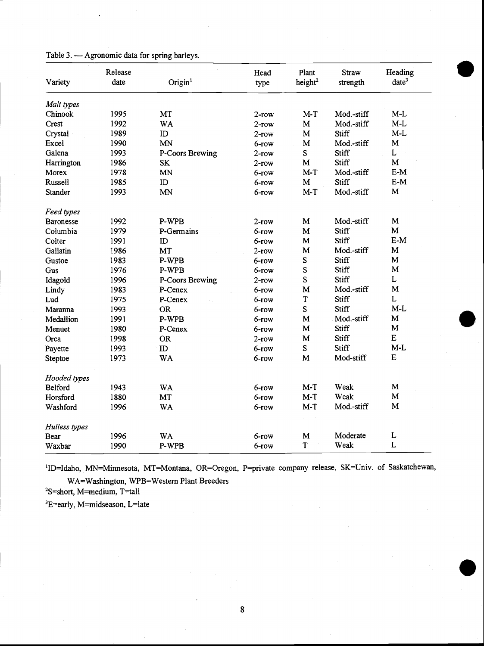|               | Release |                 | Head     | Plant               | Straw        | Heading     |
|---------------|---------|-----------------|----------|---------------------|--------------|-------------|
| Variety       | date    | Original        | type     | height <sup>2</sup> | strength     | $date^3$    |
| Malt types    |         |                 |          |                     |              |             |
| Chinook       | 1995    | MT              | $2$ -row | $M-T$               | Mod.-stiff   | $M-L$       |
| Crest         | 1992    | <b>WA</b>       | $2$ -row | $\mathbf M$         | Mod.-stiff   | $M-L$       |
| Crystal       | 1989    | ID              | $2$ -row | $\mathbf M$         | <b>Stiff</b> | $M-L$       |
| Excel         | 1990    | <b>MN</b>       | 6-row    | M                   | Mod.-stiff   | M           |
| Galena        | 1993    | P-Coors Brewing | $2$ -row | ${\bf S}$           | Stiff        | L           |
| Harrington    | 1986    | <b>SK</b>       | 2-row    | M                   | <b>Stiff</b> | $\mathbf M$ |
| Morex         | 1978    | MN              | 6-row    | $M-T$               | Mod.-stiff   | $E-M$       |
| Russell       | 1985    | ID              | 6-row    | M                   | <b>Stiff</b> | $E-M$       |
| Stander       | 1993    | MN              | 6-row    | $M-T$               | Mod.-stiff   | M           |
| Feed types    |         |                 |          |                     |              |             |
| Baronesse     | 1992    | P-WPB           | $2$ -row | M                   | Mod.-stiff   | $\mathbf M$ |
| Columbia      | 1979    | P-Germains      | 6-row    | M                   | Stiff        | $\mathbf M$ |
| Colter        | 1991    | ID              | 6-row    | M                   | Stiff        | $E-M$       |
| Gallatin      | 1986    | MT              | $2$ -row | M                   | Mod.-stiff   | M           |
| Gustoe        | 1983    | P-WPB           | 6-row    | S                   | Stiff        | M           |
| Gus           | 1976    | P-WPB           | 6-row    | S                   | <b>Stiff</b> | M           |
| Idagold       | 1996    | P-Coors Brewing | $2$ -row | S                   | Stiff        | L           |
| Lindy         | 1983    | P-Cenex         | 6-row    | M                   | Mod.-stiff   | M           |
| Lud           | 1975    | P-Cenex         | 6-row    | $\mathbf T$         | Stiff        | L           |
| Maranna       | 1993    | <b>OR</b>       | 6-row    | S                   | Stiff        | $M-L$       |
| Medallion     | 1991    | P-WPB           | 6-row    | M                   | Mod.-stiff   | $\mathbf M$ |
| Menuet        | 1980    | P-Cenex         | 6-row    | M                   | <b>Stiff</b> | $\mathbf M$ |
| Orca          | 1998    | <b>OR</b>       | $2$ -row | M                   | Stiff        | ${\bf E}$   |
| Payette       | 1993    | ID              | 6-row    | S                   | <b>Stiff</b> | $M-L$       |
| Steptoe       | 1973    | <b>WA</b>       | 6-row    | M                   | Mod-stiff    | E           |
| Hooded types  |         |                 |          |                     |              |             |
| Belford       | 1943    | <b>WA</b>       | 6-row    | $M-T$               | Weak         | $\mathbf M$ |
| Horsford      | 1880    | MT              | 6-row    | $M-T$               | Weak         | M           |
| Washford      | 1996    | <b>WA</b>       | 6-row    | $M-T$               | Mod.-stiff   | $\mathbf M$ |
| Hulless types |         |                 |          |                     |              |             |
| Bear          | 1996    | <b>WA</b>       | 6-row    | M                   | Moderate     | L           |
| Waxbar        | 1990    | P-WPB           | 6-row    | T                   | Weak         | L           |

Table 3. - Agronomic data for spring barleys.

'ID=Idaho, MN=Minnesota, MT=Montana, OR=Oregon, P=private company release, SK=Univ. of Saskatchewan,

WA=Washington, WPB=Western Plant Breeders

<sup>2</sup>S=short, M=medium, T=tall

3E=early, M=midseason, L=late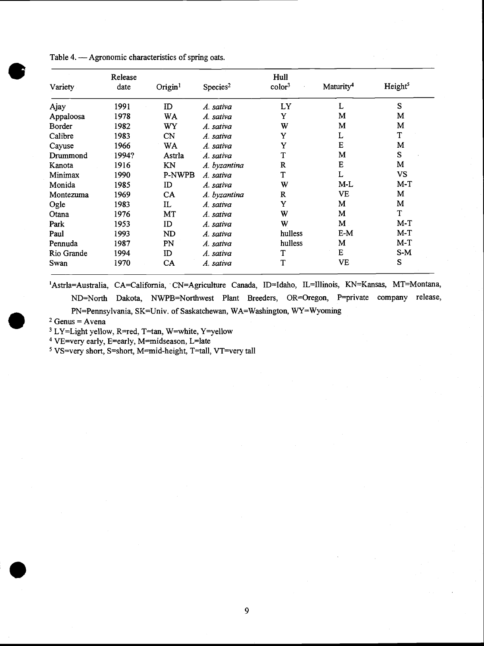|               | Release |               |                      | Hull               |                       |                     |
|---------------|---------|---------------|----------------------|--------------------|-----------------------|---------------------|
| Variety       | date    | $O$ rigin $1$ | Species <sup>2</sup> | color <sup>3</sup> | Maturity <sup>4</sup> | Height <sup>5</sup> |
| Ajay          | 1991    | ID            | A. sativa            | LY                 | L                     | S                   |
| Appaloosa     | 1978    | WA            | A. sativa            | Y                  | M                     | M                   |
| <b>Border</b> | 1982    | WY            | A. sativa            | W                  | M                     | M                   |
| Calibre       | 1983    | CN            | A. sativa            | Y                  | L                     | T                   |
| Cayuse        | 1966    | WA            | A. sativa            | Y                  | E                     | M                   |
| Drummond      | 1994?   | Astrla        | A. sativa            | T                  | M                     | S                   |
| Kanota        | 1916    | KN            | A. byzantina         | $\mathbf R$        | E                     | M                   |
| Minimax       | 1990    | P-NWPB        | A. sativa            | T                  | L                     | <b>VS</b>           |
| Monida        | 1985    | ID            | A. sativa            | W                  | $M-L$                 | $M-T$               |
| Montezuma     | 1969    | CA            | A. byzantina         | $\mathbf R$        | <b>VE</b>             | M                   |
| Ogle          | 1983    | IL            | A. sativa            | Y                  | M                     | M                   |
| Otana         | 1976    | MT            | A. sativa            | W                  | M                     | т                   |
| Park          | 1953    | ID            | A. sativa            | W                  | M                     | $M-T$               |
| Paul          | 1993    | ND            | A. sativa            | hulless            | $E-M$                 | $M-T$               |
| Pennuda       | 1987    | PN            | A. sativa            | hulless            | M                     | $M-T$               |
| Rio Grande    | 1994    | ID            | A. sativa            | T                  | E                     | $S-M$               |
| Swan          | 1970    | CA            | A. sativa            | T                  | <b>VE</b>             | S                   |

'Astrla=Australia, CA=California, CN=Agriculture Canada, ID=Idaho, IL=Illinois, KN=Kansas, MT=Montana, ND=North Dakota, NWPB=Northwest Plant Breeders, OR=Oregon, P=private company release, PN=Pennsylvania, SK=Univ. of Saskatchewan, WA=Washington, WY=Wyoming

 $2$  Genus = Avena

 $3$  LY=Light yellow, R=red, T=tan, W=white, Y=yellow

4 VE=very early, E=early, M=midseason, L=late

5 VS=very short, S=short, M=mid-height, T=tall, VT=very tall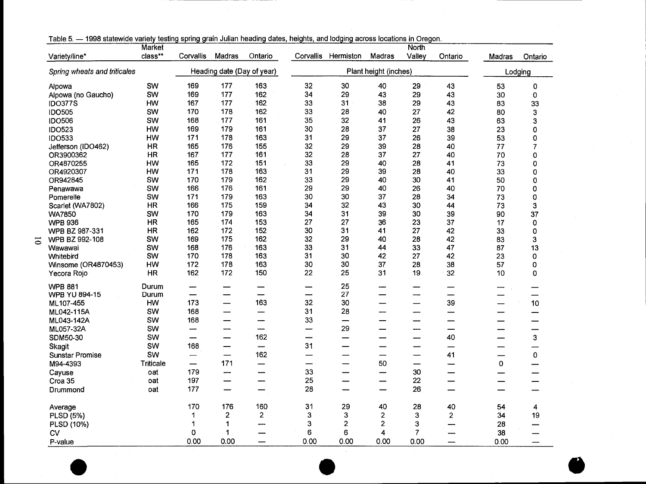|                | <b>Market</b>                                                                                                                                                                                                                                                                                                                                                                                                                                       |                                                                                                                                                                                                                                                                            |                                                                                                                                                                                                 |                                                                                                                                              |                                                                                                                                          |                                                                                                                                                                  |                                                                                                                                                                                       | <b>North</b>                                                                                                  |                                                                                                                                                   |                                                                                                                                                 |                                                                                                                                               |
|----------------|-----------------------------------------------------------------------------------------------------------------------------------------------------------------------------------------------------------------------------------------------------------------------------------------------------------------------------------------------------------------------------------------------------------------------------------------------------|----------------------------------------------------------------------------------------------------------------------------------------------------------------------------------------------------------------------------------------------------------------------------|-------------------------------------------------------------------------------------------------------------------------------------------------------------------------------------------------|----------------------------------------------------------------------------------------------------------------------------------------------|------------------------------------------------------------------------------------------------------------------------------------------|------------------------------------------------------------------------------------------------------------------------------------------------------------------|---------------------------------------------------------------------------------------------------------------------------------------------------------------------------------------|---------------------------------------------------------------------------------------------------------------|---------------------------------------------------------------------------------------------------------------------------------------------------|-------------------------------------------------------------------------------------------------------------------------------------------------|-----------------------------------------------------------------------------------------------------------------------------------------------|
| Variety/line*  | class**                                                                                                                                                                                                                                                                                                                                                                                                                                             | Corvallis                                                                                                                                                                                                                                                                  | Madras                                                                                                                                                                                          | Ontario                                                                                                                                      | Corvallis                                                                                                                                | Hermiston                                                                                                                                                        | Madras                                                                                                                                                                                | Valley                                                                                                        | Ontario                                                                                                                                           | Madras                                                                                                                                          | Ontario                                                                                                                                       |
|                |                                                                                                                                                                                                                                                                                                                                                                                                                                                     |                                                                                                                                                                                                                                                                            |                                                                                                                                                                                                 |                                                                                                                                              |                                                                                                                                          |                                                                                                                                                                  |                                                                                                                                                                                       |                                                                                                               |                                                                                                                                                   | Lodging                                                                                                                                         |                                                                                                                                               |
|                |                                                                                                                                                                                                                                                                                                                                                                                                                                                     | 169                                                                                                                                                                                                                                                                        | 177                                                                                                                                                                                             | 163                                                                                                                                          |                                                                                                                                          | 30                                                                                                                                                               |                                                                                                                                                                                       |                                                                                                               |                                                                                                                                                   |                                                                                                                                                 | $\pmb{0}$                                                                                                                                     |
|                |                                                                                                                                                                                                                                                                                                                                                                                                                                                     | 169                                                                                                                                                                                                                                                                        | 177                                                                                                                                                                                             |                                                                                                                                              | 34                                                                                                                                       |                                                                                                                                                                  |                                                                                                                                                                                       |                                                                                                               |                                                                                                                                                   |                                                                                                                                                 | 0                                                                                                                                             |
| <b>IDO377S</b> |                                                                                                                                                                                                                                                                                                                                                                                                                                                     |                                                                                                                                                                                                                                                                            | 177                                                                                                                                                                                             | 162                                                                                                                                          |                                                                                                                                          | 31                                                                                                                                                               |                                                                                                                                                                                       |                                                                                                               |                                                                                                                                                   |                                                                                                                                                 | 33                                                                                                                                            |
|                |                                                                                                                                                                                                                                                                                                                                                                                                                                                     |                                                                                                                                                                                                                                                                            |                                                                                                                                                                                                 |                                                                                                                                              |                                                                                                                                          |                                                                                                                                                                  |                                                                                                                                                                                       |                                                                                                               |                                                                                                                                                   |                                                                                                                                                 | 3                                                                                                                                             |
|                |                                                                                                                                                                                                                                                                                                                                                                                                                                                     |                                                                                                                                                                                                                                                                            |                                                                                                                                                                                                 |                                                                                                                                              |                                                                                                                                          |                                                                                                                                                                  |                                                                                                                                                                                       |                                                                                                               |                                                                                                                                                   |                                                                                                                                                 | 3                                                                                                                                             |
|                |                                                                                                                                                                                                                                                                                                                                                                                                                                                     |                                                                                                                                                                                                                                                                            |                                                                                                                                                                                                 |                                                                                                                                              |                                                                                                                                          |                                                                                                                                                                  |                                                                                                                                                                                       |                                                                                                               |                                                                                                                                                   |                                                                                                                                                 | 0                                                                                                                                             |
|                |                                                                                                                                                                                                                                                                                                                                                                                                                                                     |                                                                                                                                                                                                                                                                            |                                                                                                                                                                                                 |                                                                                                                                              |                                                                                                                                          |                                                                                                                                                                  |                                                                                                                                                                                       |                                                                                                               |                                                                                                                                                   |                                                                                                                                                 | 0                                                                                                                                             |
|                |                                                                                                                                                                                                                                                                                                                                                                                                                                                     |                                                                                                                                                                                                                                                                            |                                                                                                                                                                                                 |                                                                                                                                              |                                                                                                                                          |                                                                                                                                                                  |                                                                                                                                                                                       |                                                                                                               |                                                                                                                                                   |                                                                                                                                                 | $\overline{7}$                                                                                                                                |
|                |                                                                                                                                                                                                                                                                                                                                                                                                                                                     |                                                                                                                                                                                                                                                                            |                                                                                                                                                                                                 |                                                                                                                                              |                                                                                                                                          |                                                                                                                                                                  |                                                                                                                                                                                       |                                                                                                               |                                                                                                                                                   |                                                                                                                                                 | $\pmb{0}$                                                                                                                                     |
|                |                                                                                                                                                                                                                                                                                                                                                                                                                                                     |                                                                                                                                                                                                                                                                            |                                                                                                                                                                                                 |                                                                                                                                              |                                                                                                                                          |                                                                                                                                                                  |                                                                                                                                                                                       |                                                                                                               |                                                                                                                                                   |                                                                                                                                                 | $\mathbf 0$                                                                                                                                   |
| OR4920307      |                                                                                                                                                                                                                                                                                                                                                                                                                                                     |                                                                                                                                                                                                                                                                            | 178                                                                                                                                                                                             | 163                                                                                                                                          | 31                                                                                                                                       |                                                                                                                                                                  |                                                                                                                                                                                       |                                                                                                               |                                                                                                                                                   |                                                                                                                                                 | 0                                                                                                                                             |
| OR942845       |                                                                                                                                                                                                                                                                                                                                                                                                                                                     |                                                                                                                                                                                                                                                                            |                                                                                                                                                                                                 | 162                                                                                                                                          |                                                                                                                                          | 29                                                                                                                                                               |                                                                                                                                                                                       | 30                                                                                                            |                                                                                                                                                   |                                                                                                                                                 | $\pmb{\mathsf{O}}$                                                                                                                            |
| Penawawa       |                                                                                                                                                                                                                                                                                                                                                                                                                                                     | 166                                                                                                                                                                                                                                                                        | 176                                                                                                                                                                                             | 161                                                                                                                                          | 29                                                                                                                                       | 29                                                                                                                                                               |                                                                                                                                                                                       | 26                                                                                                            |                                                                                                                                                   |                                                                                                                                                 | 0                                                                                                                                             |
|                |                                                                                                                                                                                                                                                                                                                                                                                                                                                     |                                                                                                                                                                                                                                                                            |                                                                                                                                                                                                 |                                                                                                                                              |                                                                                                                                          |                                                                                                                                                                  |                                                                                                                                                                                       | 28                                                                                                            |                                                                                                                                                   |                                                                                                                                                 | 0                                                                                                                                             |
|                |                                                                                                                                                                                                                                                                                                                                                                                                                                                     | 166                                                                                                                                                                                                                                                                        | 175                                                                                                                                                                                             | 159                                                                                                                                          |                                                                                                                                          |                                                                                                                                                                  |                                                                                                                                                                                       |                                                                                                               |                                                                                                                                                   |                                                                                                                                                 | 3                                                                                                                                             |
|                |                                                                                                                                                                                                                                                                                                                                                                                                                                                     |                                                                                                                                                                                                                                                                            |                                                                                                                                                                                                 |                                                                                                                                              |                                                                                                                                          |                                                                                                                                                                  |                                                                                                                                                                                       |                                                                                                               |                                                                                                                                                   |                                                                                                                                                 | 37                                                                                                                                            |
|                |                                                                                                                                                                                                                                                                                                                                                                                                                                                     | 165                                                                                                                                                                                                                                                                        | 174                                                                                                                                                                                             | 153                                                                                                                                          |                                                                                                                                          | 27                                                                                                                                                               |                                                                                                                                                                                       |                                                                                                               |                                                                                                                                                   |                                                                                                                                                 | 0                                                                                                                                             |
| WPB BZ 987-331 | <b>HR</b>                                                                                                                                                                                                                                                                                                                                                                                                                                           | 162                                                                                                                                                                                                                                                                        | 172                                                                                                                                                                                             | 152                                                                                                                                          | 30                                                                                                                                       | 31                                                                                                                                                               | 41                                                                                                                                                                                    | 27                                                                                                            |                                                                                                                                                   |                                                                                                                                                 | 0                                                                                                                                             |
| WPB BZ 992-108 | SW                                                                                                                                                                                                                                                                                                                                                                                                                                                  | 169                                                                                                                                                                                                                                                                        | 175                                                                                                                                                                                             | 162                                                                                                                                          | 32                                                                                                                                       | 29                                                                                                                                                               | 40                                                                                                                                                                                    | 28                                                                                                            |                                                                                                                                                   |                                                                                                                                                 | 3                                                                                                                                             |
| Wawawai        | SW                                                                                                                                                                                                                                                                                                                                                                                                                                                  | 168                                                                                                                                                                                                                                                                        | 176                                                                                                                                                                                             | 163                                                                                                                                          | 33                                                                                                                                       | 31                                                                                                                                                               | 44                                                                                                                                                                                    | 33                                                                                                            | 47                                                                                                                                                | 87                                                                                                                                              | 13                                                                                                                                            |
| Whitebird      | SW                                                                                                                                                                                                                                                                                                                                                                                                                                                  | 170                                                                                                                                                                                                                                                                        | 178                                                                                                                                                                                             | 163                                                                                                                                          | 31                                                                                                                                       | 30                                                                                                                                                               | 42                                                                                                                                                                                    | 27                                                                                                            | 42                                                                                                                                                | 23                                                                                                                                              | 0                                                                                                                                             |
|                | HW                                                                                                                                                                                                                                                                                                                                                                                                                                                  | 172                                                                                                                                                                                                                                                                        | 178                                                                                                                                                                                             | 163                                                                                                                                          | 30                                                                                                                                       | 30                                                                                                                                                               | 37                                                                                                                                                                                    | 28                                                                                                            | 38                                                                                                                                                | 57                                                                                                                                              | 0                                                                                                                                             |
| Yecora Rojo    | <b>HR</b>                                                                                                                                                                                                                                                                                                                                                                                                                                           | 162                                                                                                                                                                                                                                                                        | 172                                                                                                                                                                                             |                                                                                                                                              | 22                                                                                                                                       |                                                                                                                                                                  | 31                                                                                                                                                                                    | 19                                                                                                            | 32                                                                                                                                                | 10                                                                                                                                              | 0                                                                                                                                             |
|                |                                                                                                                                                                                                                                                                                                                                                                                                                                                     |                                                                                                                                                                                                                                                                            |                                                                                                                                                                                                 |                                                                                                                                              |                                                                                                                                          |                                                                                                                                                                  |                                                                                                                                                                                       |                                                                                                               |                                                                                                                                                   |                                                                                                                                                 |                                                                                                                                               |
|                |                                                                                                                                                                                                                                                                                                                                                                                                                                                     |                                                                                                                                                                                                                                                                            |                                                                                                                                                                                                 | $\overline{\phantom{0}}$                                                                                                                     |                                                                                                                                          |                                                                                                                                                                  |                                                                                                                                                                                       | --                                                                                                            |                                                                                                                                                   |                                                                                                                                                 |                                                                                                                                               |
|                |                                                                                                                                                                                                                                                                                                                                                                                                                                                     |                                                                                                                                                                                                                                                                            |                                                                                                                                                                                                 |                                                                                                                                              |                                                                                                                                          |                                                                                                                                                                  | —                                                                                                                                                                                     | $\overline{\phantom{0}}$                                                                                      |                                                                                                                                                   |                                                                                                                                                 | 10                                                                                                                                            |
|                |                                                                                                                                                                                                                                                                                                                                                                                                                                                     |                                                                                                                                                                                                                                                                            | —                                                                                                                                                                                               |                                                                                                                                              |                                                                                                                                          |                                                                                                                                                                  |                                                                                                                                                                                       |                                                                                                               |                                                                                                                                                   |                                                                                                                                                 |                                                                                                                                               |
|                |                                                                                                                                                                                                                                                                                                                                                                                                                                                     |                                                                                                                                                                                                                                                                            | –                                                                                                                                                                                               | ---                                                                                                                                          |                                                                                                                                          |                                                                                                                                                                  |                                                                                                                                                                                       |                                                                                                               |                                                                                                                                                   |                                                                                                                                                 |                                                                                                                                               |
|                |                                                                                                                                                                                                                                                                                                                                                                                                                                                     |                                                                                                                                                                                                                                                                            |                                                                                                                                                                                                 | $\overline{\phantom{0}}$                                                                                                                     | —                                                                                                                                        |                                                                                                                                                                  |                                                                                                                                                                                       |                                                                                                               | —                                                                                                                                                 |                                                                                                                                                 | --                                                                                                                                            |
|                |                                                                                                                                                                                                                                                                                                                                                                                                                                                     |                                                                                                                                                                                                                                                                            |                                                                                                                                                                                                 |                                                                                                                                              |                                                                                                                                          |                                                                                                                                                                  |                                                                                                                                                                                       |                                                                                                               |                                                                                                                                                   |                                                                                                                                                 | 3                                                                                                                                             |
|                |                                                                                                                                                                                                                                                                                                                                                                                                                                                     |                                                                                                                                                                                                                                                                            |                                                                                                                                                                                                 |                                                                                                                                              |                                                                                                                                          | —                                                                                                                                                                |                                                                                                                                                                                       |                                                                                                               |                                                                                                                                                   |                                                                                                                                                 | —                                                                                                                                             |
|                |                                                                                                                                                                                                                                                                                                                                                                                                                                                     | —                                                                                                                                                                                                                                                                          |                                                                                                                                                                                                 |                                                                                                                                              | -                                                                                                                                        | -                                                                                                                                                                | —                                                                                                                                                                                     | —                                                                                                             |                                                                                                                                                   |                                                                                                                                                 | $\pmb{0}$                                                                                                                                     |
|                |                                                                                                                                                                                                                                                                                                                                                                                                                                                     |                                                                                                                                                                                                                                                                            |                                                                                                                                                                                                 |                                                                                                                                              |                                                                                                                                          |                                                                                                                                                                  |                                                                                                                                                                                       |                                                                                                               |                                                                                                                                                   |                                                                                                                                                 | –                                                                                                                                             |
|                |                                                                                                                                                                                                                                                                                                                                                                                                                                                     |                                                                                                                                                                                                                                                                            |                                                                                                                                                                                                 |                                                                                                                                              |                                                                                                                                          |                                                                                                                                                                  |                                                                                                                                                                                       |                                                                                                               |                                                                                                                                                   |                                                                                                                                                 |                                                                                                                                               |
|                |                                                                                                                                                                                                                                                                                                                                                                                                                                                     |                                                                                                                                                                                                                                                                            |                                                                                                                                                                                                 |                                                                                                                                              |                                                                                                                                          |                                                                                                                                                                  |                                                                                                                                                                                       |                                                                                                               |                                                                                                                                                   |                                                                                                                                                 |                                                                                                                                               |
|                |                                                                                                                                                                                                                                                                                                                                                                                                                                                     |                                                                                                                                                                                                                                                                            |                                                                                                                                                                                                 |                                                                                                                                              |                                                                                                                                          |                                                                                                                                                                  |                                                                                                                                                                                       |                                                                                                               |                                                                                                                                                   |                                                                                                                                                 |                                                                                                                                               |
|                |                                                                                                                                                                                                                                                                                                                                                                                                                                                     |                                                                                                                                                                                                                                                                            |                                                                                                                                                                                                 |                                                                                                                                              |                                                                                                                                          |                                                                                                                                                                  |                                                                                                                                                                                       |                                                                                                               |                                                                                                                                                   |                                                                                                                                                 |                                                                                                                                               |
|                |                                                                                                                                                                                                                                                                                                                                                                                                                                                     | 170                                                                                                                                                                                                                                                                        | 176                                                                                                                                                                                             | 160                                                                                                                                          | 31                                                                                                                                       |                                                                                                                                                                  | 40                                                                                                                                                                                    |                                                                                                               | 40                                                                                                                                                |                                                                                                                                                 | л                                                                                                                                             |
| PLSD (5%)      |                                                                                                                                                                                                                                                                                                                                                                                                                                                     | 1                                                                                                                                                                                                                                                                          | 2                                                                                                                                                                                               | 2                                                                                                                                            | 3                                                                                                                                        | 3                                                                                                                                                                | 2                                                                                                                                                                                     | 3                                                                                                             | $\overline{2}$                                                                                                                                    | 34                                                                                                                                              | 19                                                                                                                                            |
| PLSD (10%)     |                                                                                                                                                                                                                                                                                                                                                                                                                                                     |                                                                                                                                                                                                                                                                            |                                                                                                                                                                                                 |                                                                                                                                              | 3                                                                                                                                        | $\overline{c}$                                                                                                                                                   | 2                                                                                                                                                                                     | з                                                                                                             |                                                                                                                                                   | 28                                                                                                                                              |                                                                                                                                               |
| CV             |                                                                                                                                                                                                                                                                                                                                                                                                                                                     | 0                                                                                                                                                                                                                                                                          |                                                                                                                                                                                                 |                                                                                                                                              | 6                                                                                                                                        | 6                                                                                                                                                                |                                                                                                                                                                                       | $\overline{7}$                                                                                                |                                                                                                                                                   | 38                                                                                                                                              |                                                                                                                                               |
| P-value        |                                                                                                                                                                                                                                                                                                                                                                                                                                                     | 0.00                                                                                                                                                                                                                                                                       | 0.00                                                                                                                                                                                            |                                                                                                                                              | 0.00                                                                                                                                     | 0.00                                                                                                                                                             | 0.00                                                                                                                                                                                  | 0.00                                                                                                          |                                                                                                                                                   | 0.00                                                                                                                                            |                                                                                                                                               |
|                | Alpowa<br>Alpowa (no Gaucho)<br><b>IDO505</b><br><b>IDO506</b><br><b>IDO523</b><br><b>IDO533</b><br>Jefferson (IDO462)<br>OR3900362<br>OR4870255<br>Pomerelle<br>Scarlet (WA7802)<br><b>WA7850</b><br><b>WPB 936</b><br>Winsome (OR4870453)<br><b>WPB 881</b><br><b>WPB YU 894-15</b><br>ML107-455<br>ML042-115A<br>ML043-142A<br>ML057-32A<br>SDM50-30<br>Skagit<br><b>Sunstar Promise</b><br>M94-4393<br>Cayuse<br>Croa 35<br>Drummond<br>Average | Spring wheats and triticales<br>SW<br>SW<br>HW<br>SW<br>SW<br>HW<br>HW<br><b>HR</b><br><b>HR</b><br>HW<br>HW<br>SW<br>SW<br>SW<br><b>HR</b><br>SW<br><b>HR</b><br>Durum<br>Durum<br><b>HW</b><br>SW<br>SW<br>SW<br>SW<br>SW<br>SW<br><b>Triticale</b><br>oat<br>oat<br>oat | 167<br>170<br>168<br>169<br>171<br>165<br>167<br>165<br>171<br>170<br>171<br>170<br>173<br>168<br>168<br>--<br>$\overline{\phantom{0}}$<br>168<br>$\overline{\phantom{0}}$<br>179<br>197<br>177 | 178<br>177<br>179<br>178<br>176<br>177<br>172<br>179<br>179<br>179<br>—<br>$\overline{\phantom{0}}$<br>171<br>--<br>$\overline{\phantom{m}}$ | Heading date (Day of year)<br>162<br>162<br>161<br>161<br>163<br>155<br>161<br>151<br>163<br>163<br>150<br>163<br>162<br>—<br>162<br>--- | 32<br>33<br>33<br>35<br>30<br>31<br>32<br>32<br>33<br>33<br>30<br>34<br>34<br>27<br>—<br>32<br>31<br>33<br>$\overline{\phantom{0}}$<br>31<br>—<br>33<br>25<br>28 | 29<br>28<br>32<br>28<br>29<br>29<br>28<br>29<br>29<br>30<br>32<br>31<br>25<br>25<br>27<br>30<br>28<br>$\overline{\phantom{0}}$<br>29<br>—<br>—<br>—<br>$\overline{\phantom{0}}$<br>29 | 40<br>43<br>38<br>40<br>41<br>37<br>37<br>39<br>37<br>40<br>39<br>40<br>40<br>37<br>43<br>39<br>36<br>50<br>— | Plant height (inches)<br>29<br>29<br>29<br>27<br>26<br>27<br>26<br>28<br>27<br>28<br>28<br>30<br>30<br>23<br>--<br>-<br>—<br>30<br>22<br>26<br>28 | 43<br>43<br>43<br>42<br>43<br>38<br>39<br>40<br>40<br>41<br>40<br>41<br>40<br>34<br>44<br>39<br>37<br>42<br>42<br>—<br>39<br>40<br>—<br>41<br>– | 53<br>30<br>83<br>80<br>63<br>23<br>53<br>77<br>70<br>73<br>33<br>50<br>70<br>73<br>73<br>90<br>17<br>33<br>83<br>—<br>-<br>—<br>—<br>0<br>54 |

Table 5. - 1998 statewide variety testing spring grain Julian heading dates, heights, and lodging across locations in Oregon.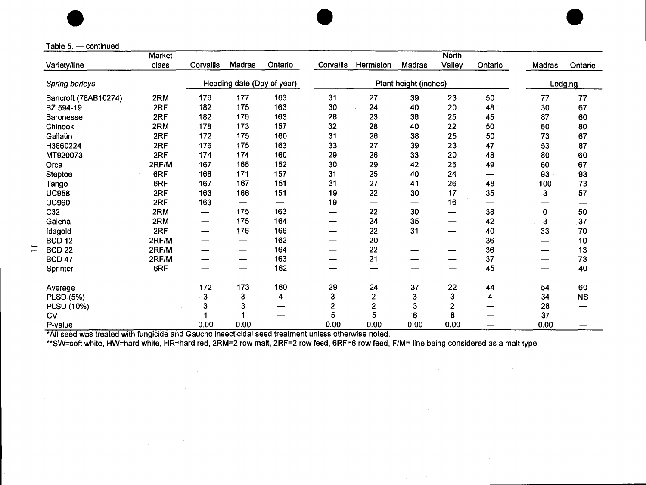| Variety/line                                                                                                                                                                                                                                  | <b>Market</b><br>class | Corvallis                | <b>Madras</b>            | Ontario                    | Corvallis      | Hermiston      | <b>Madras</b>            | <b>North</b><br>Valley   | Ontario                  | Madras  | Ontario                  |  |
|-----------------------------------------------------------------------------------------------------------------------------------------------------------------------------------------------------------------------------------------------|------------------------|--------------------------|--------------------------|----------------------------|----------------|----------------|--------------------------|--------------------------|--------------------------|---------|--------------------------|--|
| Spring barleys                                                                                                                                                                                                                                |                        |                          |                          | Heading date (Day of year) |                |                | Plant height (inches)    |                          |                          | Lodging |                          |  |
| Bancroft (78AB10274)                                                                                                                                                                                                                          | 2RM                    | 176                      | 177                      | 163                        | 31             | 27             | 39                       | 23                       | 50                       | 77      | 77                       |  |
| BZ 594-19                                                                                                                                                                                                                                     | 2RF                    | 182                      | 175                      | 163                        | 30             | 24             | 40                       | 20                       | 48                       | 30      | 67                       |  |
| <b>Baronesse</b>                                                                                                                                                                                                                              | 2RF                    | 182                      | 176                      | 163                        | 28             | 23             | 36                       | 25                       | 45                       | 87      | 60                       |  |
| Chinook                                                                                                                                                                                                                                       | 2RM                    | 178                      | 173                      | 157                        | 32             | 28             | 40                       | 22                       | 50                       | 60      | 80                       |  |
| Gallatin                                                                                                                                                                                                                                      | 2RF                    | 172                      | 175                      | 160                        | 31             | 26             | 38                       | 25                       | 50                       | 73      | 67                       |  |
| H3860224                                                                                                                                                                                                                                      | 2RF                    | 176                      | 175                      | 163                        | 33             | 27             | 39                       | 23                       | 47                       | 53      | 87                       |  |
| MT920073                                                                                                                                                                                                                                      | 2RF                    | 174                      | 174                      | 160                        | 29             | 26             | 33                       | 20                       | 48                       | 80      | 60                       |  |
| Orca                                                                                                                                                                                                                                          | 2RF/M                  | 167                      | 166                      | 152                        | 30             | 29             | 42                       | 25                       | 49                       | 60      | 67                       |  |
| <b>Steptoe</b>                                                                                                                                                                                                                                | 6RF                    | 168                      | 171                      | 157                        | 31             | 25             | 40                       | 24                       | $\overline{\phantom{0}}$ | 93      | 93                       |  |
| Tango                                                                                                                                                                                                                                         | 6RF                    | 167                      | 167                      | 151                        | 31             | 27             | 41                       | 26                       | 48                       | 100     | 73                       |  |
| <b>UC958</b>                                                                                                                                                                                                                                  | 2RF                    | 163                      | 166                      | 151                        | 19             | 22             | 30                       | 17                       | 35                       | 3       | 57                       |  |
| <b>UC960</b>                                                                                                                                                                                                                                  | 2RF                    | 163                      | $\overline{\phantom{0}}$ |                            | 19             |                | $\qquad \qquad$          | 16                       | $\overline{\phantom{0}}$ |         |                          |  |
| C32                                                                                                                                                                                                                                           | 2RM                    | —                        | 175                      | 163                        |                | 22             | 30                       | $\overline{\phantom{0}}$ | 38                       | 0       | 50                       |  |
| Galena                                                                                                                                                                                                                                        | 2RM                    | —                        | 175                      | 164                        | —              | 24             | 35                       | —                        | 42                       | 3       | 37                       |  |
| Idagold                                                                                                                                                                                                                                       | 2RF                    | —                        | 176                      | 166                        |                | 22             | 31                       | —                        | 40                       | 33      | 70                       |  |
| <b>BCD 12</b>                                                                                                                                                                                                                                 | 2RF/M                  | —                        | —                        | 162                        |                | 20             | —                        |                          | 36                       |         | 10                       |  |
| <b>BCD 22</b>                                                                                                                                                                                                                                 | 2RF/M                  | $\overline{\phantom{0}}$ | —                        | 164                        |                | 22             | $\overline{\phantom{0}}$ |                          | 36                       |         | 13                       |  |
| <b>BCD 47</b>                                                                                                                                                                                                                                 | 2RF/M                  | —                        | —                        | 163                        |                | 21             |                          |                          | 37                       |         | 73                       |  |
| Sprinter                                                                                                                                                                                                                                      | 6RF                    | $\overline{\phantom{0}}$ | $\overline{\phantom{0}}$ | 162                        |                |                | $\overline{\phantom{0}}$ |                          | 45                       |         | 40                       |  |
| Average                                                                                                                                                                                                                                       |                        | 172                      | 173                      | 160                        | 29             | 24             | 37                       | 22                       | 44                       | 54      | 60                       |  |
| <b>PLSD (5%)</b>                                                                                                                                                                                                                              |                        | 3                        | 3                        | 4                          | 3              | $\overline{2}$ | $\mathbf{3}$             | $\mathbf{3}$             | 4                        | 34      | <b>NS</b>                |  |
| PLSD (10%)                                                                                                                                                                                                                                    |                        | 3                        | 3                        |                            | $\overline{2}$ | $\overline{2}$ | 3                        | $\overline{2}$           |                          | 28      |                          |  |
| <b>CV</b>                                                                                                                                                                                                                                     |                        | 1                        | 1                        |                            | 5              | 5              | 6                        | 8                        |                          | 37      |                          |  |
| P-value                                                                                                                                                                                                                                       |                        | 0.00                     | 0.00                     |                            | 0.00           | 0.00           | 0.00                     | 0.00                     |                          | 0.00    | $\overline{\phantom{0}}$ |  |
| *All seed was treated with fungicide and Gaucho insecticidal seed treatment unless otherwise noted.<br>**SW=soft white, HW=hard white, HR=hard red, 2RM=2 row malt, 2RF=2 row feed, 6RF=6 row feed, F/M= line being considered as a malt type |                        |                          |                          |                            |                |                |                          |                          |                          |         |                          |  |
|                                                                                                                                                                                                                                               |                        |                          |                          |                            |                |                |                          |                          |                          |         |                          |  |

فيد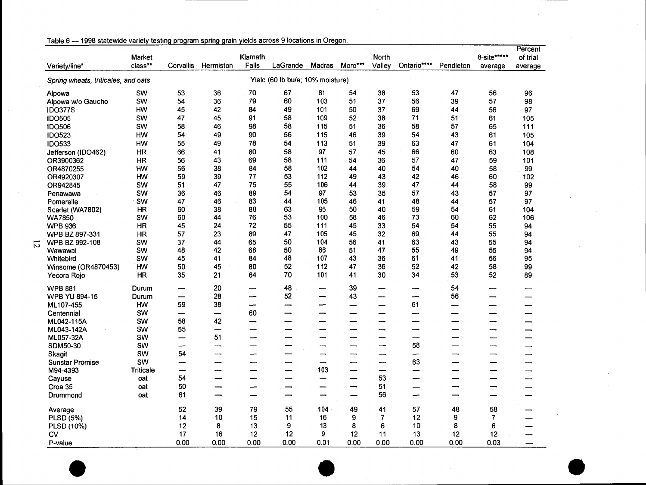|                                     |                  |           |           |         |                                  |                          |          |        |                          |           |                          | Percent  |
|-------------------------------------|------------------|-----------|-----------|---------|----------------------------------|--------------------------|----------|--------|--------------------------|-----------|--------------------------|----------|
|                                     | Market           |           |           | Klamath |                                  |                          |          | North  |                          |           | 8-site*****              | of trial |
| Variety/line*                       | class**          | Corvallis | Hermiston | Falls   | LaGrande                         | <b>Madras</b>            | Moro***  | Valley | Ontario****              | Pendleton | average                  | average  |
| Spring wheats, triticales, and oats |                  |           |           |         | Yield (60 lb bu/a; 10% moisture) |                          |          |        |                          |           |                          |          |
| Alpowa                              | SW               | 53        | 36        | 70      | 67                               | 81                       | 54       | 38     | 53                       | 47        | 56                       | 96       |
| Alpowa w/o Gaucho                   | SW               | 54        | 36        | 79      | 60                               | 103                      | 51       | 37     | 56                       | 39        | 57                       | 98       |
| <b>IDO377S</b>                      | HW               | 45        | 42        | 84      | 49                               | 101                      | 50       | 37     | 69                       | 44        | 56                       | 97       |
| <b>IDO505</b>                       | SW               | 47        | 45        | 91      | 58                               | 109                      | 52       | 38     | 71                       | 51        | 61                       | 105      |
| <b>IDO506</b>                       | SW               | 58        | 46        | 98      | 58                               | 115                      | 51       | 36     | 58                       | 57        | 65                       | 111      |
| <b>IDO523</b>                       | HW               | 54        | 49        | 90      | 56                               | 115                      | 46       | 39     | 54                       | 43        | 61                       | 105      |
| <b>IDO533</b>                       | HW               | 55        | 49        | 78      | 54                               | 113                      | 51       | 39     | 63                       | 47        | 61                       | 104      |
| Jefferson (IDO462)                  | <b>HR</b>        | 66        | 41        | 80      | 58                               | 97                       | 57       | 45     | 66                       | 60        | 63                       | 108      |
| OR3900362                           | <b>HR</b>        | 56        | 43        | 69      | 58                               | 111                      | 54       | 36     | 57                       | 47        | 59                       | 101      |
| OR4870255                           | HW               | 56        | 38        | 84      | 58                               | 102                      | 44       | 40     | 54                       | 40        | 58                       | 99       |
| OR4920307                           | HW               | 59        | 39        | 77      | 53                               | 112                      | 49       | 43     | 42                       | 46        | 60                       | 102      |
| OR942845                            | SW               | 51        | 47        | 75      | 55                               | 106                      | 44       | 39     | 47                       | 44        | 58                       | 99       |
|                                     | SW               | 36        | 46        | 89      | 54                               | 97                       | 53       | 35     | 57                       | 43        | 57                       | 97       |
| Penawawa                            |                  | 47        |           | 83      | 44                               | 105                      | 46       |        | 48                       |           |                          |          |
| Pomerelle                           | SW               |           | 46        | 88      |                                  |                          |          | 41     |                          | 44        | 57                       | 97       |
| Scarlet (WA7802)                    | <b>HR</b>        | 60        | 38<br>44  | 76      | 63<br>53                         | 95<br>100                | 50<br>58 | 40     | 59<br>73                 | 54<br>60  | 61                       | 104      |
| <b>WA7850</b>                       | SW               | 60        |           |         | 55                               |                          |          | 46     | 54                       |           | 62                       | 106      |
| <b>WPB 936</b>                      | HR               | 45        | 24        | 72      |                                  | 111                      | 45       | 33     |                          | 54        | 55                       | 94       |
| WPB BZ 897-331                      | <b>HR</b>        | 57        | 23        | 89      | 47                               | 105                      | 45       | 32     | 69                       | 44        | 55                       | 94       |
| WPB BZ 992-108                      | SW               | 37        | 44        | 65      | 50                               | 104                      | 56       | 41     | 63                       | 43        | 55                       | 94       |
| Wawawai                             | SW               | 48        | 42        | 68      | 50                               | 86                       | 51       | 47     | 55                       | 49        | 55                       | 94       |
| Whitebird                           | SW               | 45        | 41        | 84      | 48                               | 107                      | 43       | 36     | 61                       | 41        | 56                       | 95       |
| Winsome (OR4870453)                 | HW               | 50        | 45        | 80      | 52                               | 112                      | 47       | 36     | 52                       | 42        | 58                       | 99       |
| Yecora Rojo                         | <b>HR</b>        | 35        | 21        | 64      | 70                               | 101                      | 41       | 30     | 34                       | 53        | 52                       | 89       |
| <b>WPB 881</b>                      | Durum            | ---       | 20        |         | 48                               |                          | 39       | --     |                          | 54        |                          |          |
| <b>WPB YU 894-15</b>                | Durum            | —         | 28        | -       | 52                               | --                       | 43       | --     | $\overline{\phantom{m}}$ | 56        | -                        |          |
| ML107-455                           | HW               | 59        | 38        | -       | ---                              | -                        | --       | —      | 61                       | ---       |                          |          |
| Centennial                          | SW               | ---       | −         | 60      | --                               |                          | ---      | مبسب   | -                        | --        | –                        |          |
| ML042-115A                          | SW               | 58        | 42        |         | --                               | -                        | -        | -      | ---                      |           |                          |          |
| ML043-142A                          | SW               | 55        | —         | -       | --                               | -                        | ---      | -      | $\overline{\phantom{0}}$ |           | ---                      |          |
| ML057-32A                           | SW               | ---       | 51        | --      | --                               |                          | —        | ---    | --                       |           | سسد                      |          |
| SDM50-30                            | SW               | —         | ---       |         | ---                              | ---                      | --       | —      | 58                       |           | ---                      |          |
| Skagit                              | SW               | 54        | ---       | --      | --                               | --                       | ---      | --     | —                        |           | ---                      |          |
| <b>Sunstar Promise</b>              | SW               | --        | ---       |         | ---                              | $\overline{\phantom{a}}$ |          |        | 63                       |           |                          |          |
| M94-4393                            | <b>Triticale</b> | -         | ---       |         |                                  | 103                      | —        | --     | —                        |           |                          |          |
| Cayuse                              | oat              | 54        | —         | –       | –                                | --                       | --       | 53     | --                       |           | --                       |          |
| Croa 35                             | oat              | 50        | ---       | -       | ---                              | --                       | --       | 51     | —                        | ---       | ---                      |          |
| Drummond                            | oat              | 61        |           |         |                                  |                          |          | 56     |                          |           |                          |          |
|                                     |                  |           |           |         |                                  |                          |          |        |                          |           |                          |          |
| Average                             |                  | 52        | 39        | 79      | 55                               | 104                      | 49       | 41     | 57                       | 48        | 58                       |          |
| <b>PLSD (5%)</b>                    |                  | 14        | 10        | 15      | 11                               | 16                       | 9        | 7      | 12                       | 9         | $\overline{\mathcal{I}}$ |          |
| PLSD (10%)                          |                  | 12        | 8         | 13      | 9                                | 13                       | 8        | 6      | 10                       | 8         | 6                        |          |
| <b>CV</b>                           |                  | 17        | 16        | 12      | 12                               | 9                        | 12       | 11     | 13                       | 12        | 12                       |          |
| P-value                             |                  | 0.00      | 0.00      | 0.00    | 0.00                             | 0.01                     | 0.00     | 0.00   | 0.00                     | 0.00      | 0.03                     |          |
|                                     |                  |           |           |         |                                  |                          |          |        |                          |           |                          |          |
|                                     |                  |           |           |         |                                  |                          |          |        |                          |           |                          |          |
|                                     |                  |           |           |         |                                  |                          |          |        |                          |           |                          |          |
|                                     |                  |           |           |         |                                  |                          |          |        |                          |           |                          |          |

### Table 6 - 1998 statewide variety testing program spring grain yields across 9 locations in Oregon.

 $\overline{5}$ 

0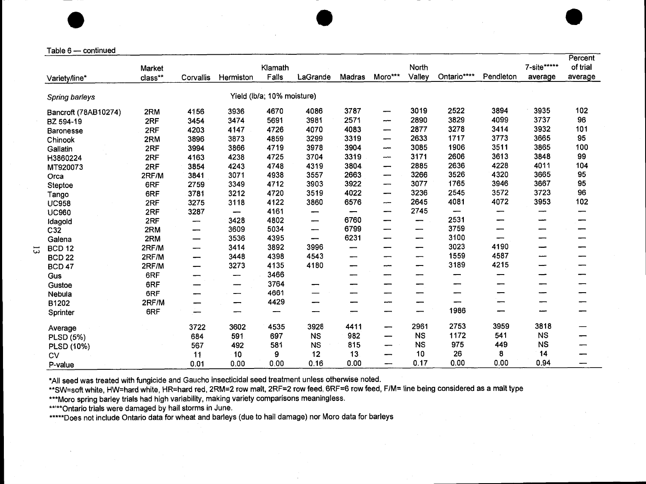Table 6 - continued

|       |                                                                                                                             |                                                          |                                                                                               |                                                |                                                 |                                                                                                           |                                                                                                                                                                                                                |                            |                          |                             | Percent<br>of trial                                                                                                                                                                                     |
|-------|-----------------------------------------------------------------------------------------------------------------------------|----------------------------------------------------------|-----------------------------------------------------------------------------------------------|------------------------------------------------|-------------------------------------------------|-----------------------------------------------------------------------------------------------------------|----------------------------------------------------------------------------------------------------------------------------------------------------------------------------------------------------------------|----------------------------|--------------------------|-----------------------------|---------------------------------------------------------------------------------------------------------------------------------------------------------------------------------------------------------|
|       |                                                                                                                             |                                                          | Falls                                                                                         | LaGrande                                       | Madras                                          | Moro***                                                                                                   | Valley                                                                                                                                                                                                         | Ontario****                | Pendleton                | average                     | average                                                                                                                                                                                                 |
|       |                                                                                                                             |                                                          |                                                                                               |                                                |                                                 |                                                                                                           |                                                                                                                                                                                                                |                            |                          |                             |                                                                                                                                                                                                         |
|       |                                                                                                                             |                                                          |                                                                                               |                                                |                                                 |                                                                                                           |                                                                                                                                                                                                                |                            |                          |                             |                                                                                                                                                                                                         |
| 2RM   | 4156                                                                                                                        | 3936                                                     | 4670                                                                                          | 4086                                           | 3787                                            | —                                                                                                         | 3019                                                                                                                                                                                                           | 2522                       | 3894                     | 3935                        | 102                                                                                                                                                                                                     |
| 2RF   | 3454                                                                                                                        | 3474                                                     | 5691                                                                                          | 3981                                           | 2571                                            | ----                                                                                                      | 2890                                                                                                                                                                                                           |                            |                          |                             | 96                                                                                                                                                                                                      |
| 2RF   | 4203                                                                                                                        | 4147                                                     | 4726                                                                                          | 4070                                           | 4083                                            |                                                                                                           | 2877                                                                                                                                                                                                           | 3278                       | 3414                     | 3932                        | 101                                                                                                                                                                                                     |
| 2RM   | 3896                                                                                                                        | 3873                                                     | 4859                                                                                          | 3299                                           | 3319                                            |                                                                                                           | 2633                                                                                                                                                                                                           | 1717                       | 3773                     | 3665                        | 95                                                                                                                                                                                                      |
| 2RF   | 3994                                                                                                                        | 3866                                                     | 4719                                                                                          | 3978                                           | 3904                                            | ---                                                                                                       | 3085                                                                                                                                                                                                           | 1906                       |                          |                             | 100                                                                                                                                                                                                     |
| 2RF   | 4163                                                                                                                        | 4238                                                     | 4725                                                                                          | 3704                                           | 3319                                            | ---                                                                                                       | 3171                                                                                                                                                                                                           | 2606                       | 3613                     | 3848                        | 99                                                                                                                                                                                                      |
|       |                                                                                                                             | 4243                                                     | 4748                                                                                          | 4319                                           | 3804                                            | $\overline{\phantom{m}}$                                                                                  | 2885                                                                                                                                                                                                           | 2636                       | 4228                     | 4011                        | 104                                                                                                                                                                                                     |
| 2RF/M | 3841                                                                                                                        | 3071                                                     | 4938                                                                                          | 3557                                           | 2663                                            | $\overline{\phantom{m}}$                                                                                  | 3266                                                                                                                                                                                                           | 3526                       | 4320                     | 3665                        | 95                                                                                                                                                                                                      |
| 6RF   | 2759                                                                                                                        | 3349                                                     | 4712                                                                                          | 3903                                           | 3922                                            | $\overline{\phantom{0}}$                                                                                  | 3077                                                                                                                                                                                                           | 1765                       | 3946                     | 3667                        | 95                                                                                                                                                                                                      |
|       |                                                                                                                             | 3212                                                     | 4720                                                                                          | 3519                                           | 4022                                            | $\overline{\phantom{0}}$                                                                                  | 3236                                                                                                                                                                                                           | 2545                       | 3572                     | 3723                        | 96                                                                                                                                                                                                      |
|       |                                                                                                                             |                                                          | 4122                                                                                          | 3860                                           | 6576                                            | $\overline{\phantom{a}}$                                                                                  | 2645                                                                                                                                                                                                           | 4081                       | 4072                     | 3953                        | 102                                                                                                                                                                                                     |
|       |                                                                                                                             | $\qquad \qquad$                                          | 4161                                                                                          | —                                              | $\overline{\phantom{0}}$                        | $\overline{\phantom{0}}$                                                                                  | 2745                                                                                                                                                                                                           | $\qquad \qquad$            | -                        | ---                         |                                                                                                                                                                                                         |
|       | $\overline{\phantom{0}}$                                                                                                    | 3428                                                     | 4802                                                                                          | $\overline{\phantom{0}}$                       | 6760                                            |                                                                                                           | $\overline{\phantom{m}}$                                                                                                                                                                                       | 2531                       | -                        | ÷,                          | -                                                                                                                                                                                                       |
|       | -                                                                                                                           | 3609                                                     | 5034                                                                                          | $\overline{\phantom{m}}$                       | 6799                                            | $\overline{\phantom{0}}$                                                                                  | $\overline{\phantom{m}}$                                                                                                                                                                                       | 3759                       |                          | —                           |                                                                                                                                                                                                         |
|       | --                                                                                                                          | 3536                                                     | 4395                                                                                          | $\overline{\phantom{0}}$                       | 6231                                            | $\overline{\phantom{m}}$                                                                                  | $\hspace{0.05cm}$                                                                                                                                                                                              | 3100                       | $\overline{\phantom{0}}$ | -                           |                                                                                                                                                                                                         |
|       | $\overline{\phantom{0}}$                                                                                                    | 3414                                                     | 3892                                                                                          | 3996                                           | $\overline{\phantom{0}}$                        |                                                                                                           | $\qquad \qquad$                                                                                                                                                                                                | 3023                       | 4190                     | -                           |                                                                                                                                                                                                         |
|       | $\overline{\phantom{0}}$                                                                                                    | 3448                                                     | 4398                                                                                          | 4543                                           | $\overline{\phantom{0}}$                        | $\overline{\phantom{m}}$                                                                                  | $\overline{\phantom{0}}$                                                                                                                                                                                       | 1559                       | 4587                     | --                          | --                                                                                                                                                                                                      |
|       | $\overline{\phantom{0}}$                                                                                                    | 3273                                                     | 4135                                                                                          | 4180                                           | —                                               | ---                                                                                                       | $\overline{\phantom{0}}$                                                                                                                                                                                       | 3189                       | 4215                     | ----                        |                                                                                                                                                                                                         |
|       | -                                                                                                                           | -                                                        | 3466                                                                                          |                                                | -                                               |                                                                                                           | —                                                                                                                                                                                                              |                            |                          | -                           |                                                                                                                                                                                                         |
|       | —                                                                                                                           | -                                                        |                                                                                               |                                                | —                                               | $\overline{\phantom{0}}$                                                                                  | —                                                                                                                                                                                                              | —                          | $\overline{\phantom{0}}$ | —                           |                                                                                                                                                                                                         |
|       |                                                                                                                             | $\overline{\phantom{0}}$                                 |                                                                                               | —                                              | —                                               | $\overline{\phantom{0}}$                                                                                  | -                                                                                                                                                                                                              | —                          | $\overline{\phantom{0}}$ | مست                         |                                                                                                                                                                                                         |
|       | $\overline{\phantom{m}}$                                                                                                    |                                                          |                                                                                               |                                                | —                                               | ---                                                                                                       | -                                                                                                                                                                                                              | —                          | --                       | $\overline{\phantom{0}}$    |                                                                                                                                                                                                         |
| 6RF   | -                                                                                                                           | $\overline{\phantom{0}}$                                 | $\overline{\phantom{0}}$                                                                      | $\overline{\phantom{0}}$                       | $\overline{\phantom{0}}$                        | $\qquad \qquad$                                                                                           | -                                                                                                                                                                                                              | 1986                       | $\qquad \qquad$          | --                          | -                                                                                                                                                                                                       |
|       |                                                                                                                             |                                                          |                                                                                               |                                                |                                                 | $\overline{\phantom{0}}$                                                                                  |                                                                                                                                                                                                                | 2753                       |                          |                             |                                                                                                                                                                                                         |
|       |                                                                                                                             |                                                          |                                                                                               |                                                |                                                 | $\overline{\phantom{0}}$                                                                                  |                                                                                                                                                                                                                |                            |                          |                             |                                                                                                                                                                                                         |
|       |                                                                                                                             |                                                          |                                                                                               |                                                |                                                 | $\overline{\phantom{0}}$                                                                                  |                                                                                                                                                                                                                |                            |                          |                             |                                                                                                                                                                                                         |
|       |                                                                                                                             |                                                          |                                                                                               |                                                |                                                 | $\overline{\phantom{0}}$                                                                                  | 10                                                                                                                                                                                                             |                            |                          |                             |                                                                                                                                                                                                         |
|       |                                                                                                                             |                                                          |                                                                                               |                                                |                                                 | $\qquad \qquad$                                                                                           |                                                                                                                                                                                                                |                            |                          |                             | --                                                                                                                                                                                                      |
|       | 567<br>11<br>0.01                                                                                                           | 492<br>10<br>0.00                                        | 581<br>9<br>0.00                                                                              | <b>NS</b><br>12<br>0.16                        | 815<br>13<br>0.00                               |                                                                                                           | <b>NS</b><br>0.17                                                                                                                                                                                              | 26<br>0.00                 | 449<br>8<br>0.00         | 14<br>0.94                  |                                                                                                                                                                                                         |
|       | Market<br>class**<br>2RF<br>6RF<br>2RF<br>2RF<br>2RF<br>2RM<br>2RM<br>2RF/M<br>2RF/M<br>2RF/M<br>6RF<br>6RF<br>6RF<br>2RF/M | Corvallis<br>3854<br>3781<br>3275<br>3287<br>3722<br>684 | Hermiston<br>3118<br>3602<br>591<br>***** Ontario trials were damaged by hail storms in June. | Klamath<br>3764<br>4661<br>4429<br>4535<br>697 | Yield (lb/a; 10% moisture)<br>3928<br><b>NS</b> | 4411<br>982<br>***Moro spring barley trials had high variability, making variety comparisons meaningless. | *All seed was treated with fungicide and Gaucho insecticidal seed treatment unless otherwise noted.<br>*****Does not include Ontario data for wheat and barleys (due to hail damage) nor Moro data for barleys | North<br>2961<br><b>NS</b> | 3829<br>1172<br>975      | 4099<br>3511<br>3959<br>541 | 7-site*****<br>3737<br>3865<br>3818<br><b>NS</b><br><b>NS</b><br>**SW=soft white, HW=hard white, HR=hard red, 2RM=2 row malt, 2RF=2 row feed, 6RF=6 row feed, F/M= line being considered as a malt type |

 $\overline{\omega}$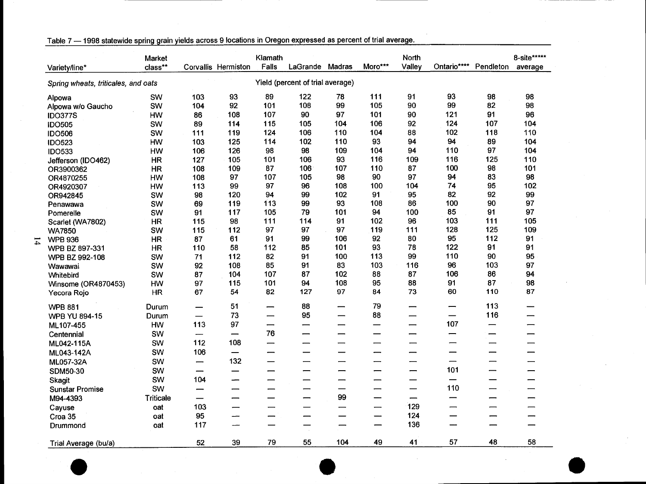| Spring wheats, triticales, and oats<br>Alpowa<br>Alpowa w/o Gaucho<br><b>IDO377S</b><br><b>IDO505</b><br><b>IDO506</b><br><b>IDO523</b><br><b>IDO533</b><br>Jefferson (IDO462)<br>OR3900362<br>OR4870255<br>OR4920307<br>OR942845<br>Penawawa<br>Pomerelle<br>Scarlet (WA7802)<br><b>WA7850</b><br><b>WPB 936</b><br>WPB BZ 897-331 | SW<br>SW<br>HW<br>SW<br>SW<br>HW<br>HW<br>HR<br>HR<br>HW<br>HW<br>SW<br>SW<br>SW<br>HR | 103<br>104<br>86<br>89<br>111<br>103<br>106<br>127<br>108<br>108<br>113<br>98<br>69 | 93<br>92<br>108<br>114<br>119<br>125<br>126<br>105<br>109<br>97<br>99 | 89<br>101<br>107<br>115<br>124<br>114<br>98<br>101<br>87<br>107 | Yield (percent of trial average)<br>122<br>108<br>90<br>105<br>106<br>102<br>98<br>106<br>106 | 78<br>99<br>97<br>104<br>110<br>110<br>109 | 111<br>105<br>101<br>106<br>104<br>93 | 91<br>90<br>90<br>92<br>88<br>94 | 93<br>99<br>121<br>124<br>102<br>94 | 98<br>82<br>91<br>107<br>118 | 98<br>98<br>96<br>104<br>110 |
|-------------------------------------------------------------------------------------------------------------------------------------------------------------------------------------------------------------------------------------------------------------------------------------------------------------------------------------|----------------------------------------------------------------------------------------|-------------------------------------------------------------------------------------|-----------------------------------------------------------------------|-----------------------------------------------------------------|-----------------------------------------------------------------------------------------------|--------------------------------------------|---------------------------------------|----------------------------------|-------------------------------------|------------------------------|------------------------------|
|                                                                                                                                                                                                                                                                                                                                     |                                                                                        |                                                                                     |                                                                       |                                                                 |                                                                                               |                                            |                                       |                                  |                                     |                              |                              |
|                                                                                                                                                                                                                                                                                                                                     |                                                                                        |                                                                                     |                                                                       |                                                                 |                                                                                               |                                            |                                       |                                  |                                     |                              |                              |
|                                                                                                                                                                                                                                                                                                                                     |                                                                                        |                                                                                     |                                                                       |                                                                 |                                                                                               |                                            |                                       |                                  |                                     |                              |                              |
|                                                                                                                                                                                                                                                                                                                                     |                                                                                        |                                                                                     |                                                                       |                                                                 |                                                                                               |                                            |                                       |                                  |                                     |                              |                              |
|                                                                                                                                                                                                                                                                                                                                     |                                                                                        |                                                                                     |                                                                       |                                                                 |                                                                                               |                                            |                                       |                                  |                                     |                              |                              |
|                                                                                                                                                                                                                                                                                                                                     |                                                                                        |                                                                                     |                                                                       |                                                                 |                                                                                               |                                            |                                       |                                  |                                     |                              |                              |
|                                                                                                                                                                                                                                                                                                                                     |                                                                                        |                                                                                     |                                                                       |                                                                 |                                                                                               |                                            |                                       |                                  |                                     | 89                           | 104                          |
|                                                                                                                                                                                                                                                                                                                                     |                                                                                        |                                                                                     |                                                                       |                                                                 |                                                                                               |                                            | 104                                   | 94                               | 110                                 | 97                           | 104                          |
|                                                                                                                                                                                                                                                                                                                                     |                                                                                        |                                                                                     |                                                                       |                                                                 |                                                                                               | 93                                         | 116                                   | 109                              | 116                                 | 125                          | 110                          |
|                                                                                                                                                                                                                                                                                                                                     |                                                                                        |                                                                                     |                                                                       |                                                                 |                                                                                               | 107                                        | 110                                   | 87                               | 100                                 | 98                           | 101                          |
|                                                                                                                                                                                                                                                                                                                                     |                                                                                        |                                                                                     |                                                                       |                                                                 | 105                                                                                           | 98                                         | 90                                    | 97                               | 94                                  | 83                           | 98                           |
|                                                                                                                                                                                                                                                                                                                                     |                                                                                        |                                                                                     |                                                                       | 97                                                              | 96                                                                                            | 108                                        | 100                                   | 104                              | 74                                  | 95                           | 102                          |
|                                                                                                                                                                                                                                                                                                                                     |                                                                                        |                                                                                     | 120                                                                   | 94                                                              | 99                                                                                            | 102                                        | 91                                    | 95                               | 82                                  | 92                           | 99                           |
|                                                                                                                                                                                                                                                                                                                                     |                                                                                        |                                                                                     | 119                                                                   | 113                                                             | 99                                                                                            | 93                                         | 108                                   | 86                               | 100                                 | 90                           | 97                           |
|                                                                                                                                                                                                                                                                                                                                     |                                                                                        | 91                                                                                  | 117                                                                   | 105                                                             | 79                                                                                            | 101                                        | 94                                    | 100                              | 85                                  | 91                           | 97                           |
|                                                                                                                                                                                                                                                                                                                                     |                                                                                        | 115                                                                                 | 98                                                                    | 111                                                             | 114                                                                                           | 91                                         | 102                                   | 96                               | 103                                 | 111                          | 105                          |
|                                                                                                                                                                                                                                                                                                                                     | SW                                                                                     | 115                                                                                 | 112                                                                   | 97                                                              | 97                                                                                            | 97                                         | 119                                   | 111                              | 128                                 | 125                          | 109                          |
|                                                                                                                                                                                                                                                                                                                                     | HR                                                                                     | 87                                                                                  | 61                                                                    | 91                                                              | 99                                                                                            | 106                                        | 92                                    | 80                               | 95                                  | 112                          | 91                           |
|                                                                                                                                                                                                                                                                                                                                     | <b>HR</b>                                                                              | 110                                                                                 | 58                                                                    | 112                                                             | 85                                                                                            | 101                                        | 93                                    | 78                               | 122                                 | 91                           | 91                           |
|                                                                                                                                                                                                                                                                                                                                     | SW                                                                                     | 71                                                                                  | 112                                                                   | 82                                                              | 91                                                                                            | 100                                        | 113                                   | 99                               | 110                                 | 90                           | 95                           |
| WPB BZ 992-108                                                                                                                                                                                                                                                                                                                      |                                                                                        | 92                                                                                  | 108                                                                   | 85                                                              | 91                                                                                            | 83                                         | 103                                   | 116                              | 96                                  | 103                          | 97                           |
| Wawawai                                                                                                                                                                                                                                                                                                                             | SW                                                                                     | 87                                                                                  | 104                                                                   | 107                                                             | 87                                                                                            | 102                                        | 88                                    | 87                               | 106                                 | 86                           | 94                           |
| Whitebird                                                                                                                                                                                                                                                                                                                           | SW                                                                                     |                                                                                     | 115                                                                   | 101                                                             |                                                                                               | 108                                        | 95                                    | 88                               | 91                                  | 87                           | 98                           |
| <b>Winsome (OR4870453)</b>                                                                                                                                                                                                                                                                                                          | HW                                                                                     | 97                                                                                  |                                                                       |                                                                 | 94<br>127                                                                                     | 97                                         |                                       | 73                               | 60                                  | 110                          | 87                           |
| Yecora Rojo                                                                                                                                                                                                                                                                                                                         | HR                                                                                     | 67                                                                                  | 54                                                                    | 82                                                              |                                                                                               |                                            | 84                                    |                                  |                                     |                              |                              |
| <b>WPB 881</b>                                                                                                                                                                                                                                                                                                                      | Durum                                                                                  | —                                                                                   | 51                                                                    | $\overline{\phantom{0}}$                                        | 88                                                                                            | -                                          | 79                                    | –                                | —                                   | 113                          | —                            |
| <b>WPB YU 894-15</b>                                                                                                                                                                                                                                                                                                                | Durum                                                                                  | —                                                                                   | 73                                                                    | —                                                               | 95                                                                                            | —                                          | 88                                    | –                                | —                                   | 116                          | —                            |
| ML107-455                                                                                                                                                                                                                                                                                                                           | HW                                                                                     | 113                                                                                 | 97                                                                    | $\overline{\phantom{0}}$                                        | $\overline{\phantom{0}}$                                                                      | –                                          | —                                     | —                                | 107                                 | —                            | —                            |
| Centennial                                                                                                                                                                                                                                                                                                                          | SW                                                                                     | $\overline{\phantom{0}}$                                                            | $\overline{\phantom{0}}$                                              | 76                                                              | —                                                                                             | —                                          | —                                     | —                                | –                                   | –                            | -                            |
| ML042-115A                                                                                                                                                                                                                                                                                                                          | SW                                                                                     | 112                                                                                 | 108                                                                   | —                                                               | —                                                                                             | -                                          | —                                     | -                                |                                     | —                            |                              |
| ML043-142A                                                                                                                                                                                                                                                                                                                          | SW                                                                                     | 106                                                                                 | —                                                                     |                                                                 |                                                                                               |                                            | —                                     | —                                |                                     | –                            | –                            |
| ML057-32A                                                                                                                                                                                                                                                                                                                           | SW                                                                                     | —                                                                                   | 132                                                                   | —                                                               | —                                                                                             | —                                          | –                                     | $\overline{\phantom{0}}$         | —                                   | –                            |                              |
| SDM50-30                                                                                                                                                                                                                                                                                                                            | SW                                                                                     | —                                                                                   | –                                                                     | —                                                               | -                                                                                             |                                            |                                       |                                  | 101                                 | —                            |                              |
| Skagit                                                                                                                                                                                                                                                                                                                              | SW                                                                                     | 104                                                                                 | --                                                                    | —                                                               | –                                                                                             | —                                          | –                                     | –                                | —                                   |                              |                              |
| <b>Sunstar Promise</b>                                                                                                                                                                                                                                                                                                              | SW                                                                                     | $\overline{\phantom{0}}$                                                            |                                                                       | –                                                               |                                                                                               |                                            | -                                     | —                                | 110                                 | —                            | —                            |
| M94-4393                                                                                                                                                                                                                                                                                                                            | <b>Triticale</b>                                                                       | $\overline{\phantom{0}}$                                                            |                                                                       | –                                                               | –                                                                                             | 99                                         |                                       | —                                |                                     |                              |                              |
| Cayuse                                                                                                                                                                                                                                                                                                                              | oat                                                                                    | 103                                                                                 |                                                                       |                                                                 |                                                                                               | $\overline{\phantom{0}}$                   |                                       | 129                              |                                     |                              |                              |
| Croa 35                                                                                                                                                                                                                                                                                                                             | oat                                                                                    | 95                                                                                  |                                                                       |                                                                 |                                                                                               |                                            |                                       | 124                              |                                     |                              |                              |
| Drummond                                                                                                                                                                                                                                                                                                                            | oat                                                                                    | 117                                                                                 |                                                                       |                                                                 |                                                                                               |                                            |                                       | 136                              |                                     |                              |                              |
|                                                                                                                                                                                                                                                                                                                                     |                                                                                        |                                                                                     |                                                                       |                                                                 |                                                                                               |                                            |                                       |                                  |                                     |                              |                              |
| Trial Average (bu/a)                                                                                                                                                                                                                                                                                                                |                                                                                        | 52                                                                                  | 39                                                                    | 79                                                              | 55                                                                                            | 104                                        | 49                                    | 41                               | 57                                  | 48                           | 58                           |

# Table 7 - 1998 statewide spring grain yields across 9 locations in Oregon expressed as percent of trial average.

 $\mathbf{14}$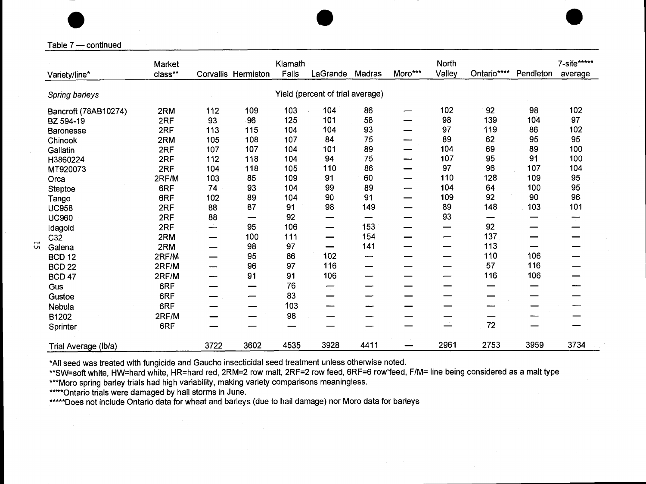|                                                                                                                                                                                                                                                                                                                                                                                                                                                                                                                     | Market  |      |                     | Klamath |                                  |        |                 | North  |             |           | 7-site***** |
|---------------------------------------------------------------------------------------------------------------------------------------------------------------------------------------------------------------------------------------------------------------------------------------------------------------------------------------------------------------------------------------------------------------------------------------------------------------------------------------------------------------------|---------|------|---------------------|---------|----------------------------------|--------|-----------------|--------|-------------|-----------|-------------|
| Variety/line*                                                                                                                                                                                                                                                                                                                                                                                                                                                                                                       | class** |      | Corvallis Hermiston | Falls   | LaGrande                         | Madras | Moro***         | Valley | Ontario**** | Pendleton | average     |
| Spring barleys                                                                                                                                                                                                                                                                                                                                                                                                                                                                                                      |         |      |                     |         | Yield (percent of trial average) |        |                 |        |             |           |             |
| Bancroft (78AB10274)                                                                                                                                                                                                                                                                                                                                                                                                                                                                                                | 2RM     | 112  | 109                 | 103     | 104                              | 86     |                 | 102    | 92          | 98        | 102         |
| BZ 594-19                                                                                                                                                                                                                                                                                                                                                                                                                                                                                                           | 2RF     | 93   | 96                  | 125     | 101                              | 58     |                 | 98     | 139         | 104       | 97          |
| <b>Baronesse</b>                                                                                                                                                                                                                                                                                                                                                                                                                                                                                                    | 2RF     | 113  | 115                 | 104     | 104                              | 93     |                 | 97     | 119         | 86        | 102         |
| Chinook                                                                                                                                                                                                                                                                                                                                                                                                                                                                                                             | 2RM     | 105  | 108                 | 107     | 84                               | 75     |                 | 89     | 62          | 95        | 95          |
| Gallatin                                                                                                                                                                                                                                                                                                                                                                                                                                                                                                            | 2RF     | 107  | 107                 | 104     | 101                              | 89     |                 | 104    | 69          | 89        | 100         |
| H3860224                                                                                                                                                                                                                                                                                                                                                                                                                                                                                                            | 2RF     | 112  | 118                 | 104     | 94                               | 75     | --              | 107    | 95          | 91        | 100         |
| MT920073                                                                                                                                                                                                                                                                                                                                                                                                                                                                                                            | 2RF     | 104  | 118                 | 105     | 110                              | 86     |                 | 97     | 96          | 107       | 104         |
| Orca                                                                                                                                                                                                                                                                                                                                                                                                                                                                                                                | 2RF/M   | 103  | 85                  | 109     | 91                               | 60     |                 | 110    | 128         | 109       | 95          |
| Steptoe                                                                                                                                                                                                                                                                                                                                                                                                                                                                                                             | 6RF     | 74   | 93                  | 104     | 99                               | 89     | -               | 104    | 64          | 100       | 95          |
| Tango                                                                                                                                                                                                                                                                                                                                                                                                                                                                                                               | 6RF     | 102  | 89                  | 104     | 90                               | 91     | —               | 109    | 92          | 90        | 96          |
| <b>UC958</b>                                                                                                                                                                                                                                                                                                                                                                                                                                                                                                        | 2RF     | 88   | 87                  | 91      | 98                               | 149    | —               | 89     | 148         | 103       | 101         |
| <b>UC960</b>                                                                                                                                                                                                                                                                                                                                                                                                                                                                                                        | 2RF     | 88   | —                   | 92      |                                  | سسه    |                 | 93     |             |           |             |
| Idagold                                                                                                                                                                                                                                                                                                                                                                                                                                                                                                             | 2RF     | --   | 95                  | 106     | —                                | 153    | —               | —      | 92          |           |             |
| C32                                                                                                                                                                                                                                                                                                                                                                                                                                                                                                                 | 2RM     | ---- | 100                 | 111     | —                                | 154    | $\qquad \qquad$ |        | 137         |           |             |
| Galena                                                                                                                                                                                                                                                                                                                                                                                                                                                                                                              | 2RM     |      | 98                  | 97      | —                                | 141    | —               | —      | 113         |           |             |
| <b>BCD 12</b>                                                                                                                                                                                                                                                                                                                                                                                                                                                                                                       | 2RF/M   |      | 95                  | 86      | 102                              | ----   | —               |        | 110         | 106       |             |
| <b>BCD 22</b>                                                                                                                                                                                                                                                                                                                                                                                                                                                                                                       | 2RF/M   |      | 96                  | 97      | 116                              |        | —               | –      | 57          | 116       |             |
| <b>BCD 47</b>                                                                                                                                                                                                                                                                                                                                                                                                                                                                                                       | 2RF/M   |      | 91                  | 91      | 106                              |        | —               |        | 116         | 106       |             |
| Gus                                                                                                                                                                                                                                                                                                                                                                                                                                                                                                                 | 6RF     |      | –                   | 76      |                                  |        | —               |        |             |           |             |
| Gustoe                                                                                                                                                                                                                                                                                                                                                                                                                                                                                                              | 6RF     |      | –                   | 83      |                                  |        | —               |        |             |           |             |
| Nebula                                                                                                                                                                                                                                                                                                                                                                                                                                                                                                              | 6RF     |      |                     | 103     |                                  |        |                 |        |             |           |             |
| B1202                                                                                                                                                                                                                                                                                                                                                                                                                                                                                                               | 2RF/M   |      |                     | 98      |                                  |        |                 |        |             |           |             |
| Sprinter                                                                                                                                                                                                                                                                                                                                                                                                                                                                                                            | 6RF     |      |                     |         |                                  |        |                 |        | 72          |           |             |
| Trial Average (lb/a)                                                                                                                                                                                                                                                                                                                                                                                                                                                                                                |         | 3722 | 3602                | 4535    | 3928                             | 4411   |                 | 2961   | 2753        | 3959      | 3734        |
| *All seed was treated with fungicide and Gaucho insecticidal seed treatment unless otherwise noted.<br>**SW=soft white, HW=hard white, HR=hard red, 2RM=2 row malt, 2RF=2 row feed, 6RF=6 row feed, F/M= line being considered as a malt type<br>***Moro spring barley trials had high variability, making variety comparisons meaningless.<br>***** Ontario trials were damaged by hail storms in June.<br>*****Does not include Ontario data for wheat and barleys (due to hail damage) nor Moro data for barleys |         |      |                     |         |                                  |        |                 |        |             |           |             |

Trial Average (Ib/a) 3722 3602 4535 3928 4411 - 2961 2753 3959 3734<br>
All seed was treated with fungicide and Gaucho insecticidal seed treatment unless otherwise noted.<br>
\*\*SW=soft white, HW=hard white, HR=hard red, 2RM=2 ro

 $\overline{5}$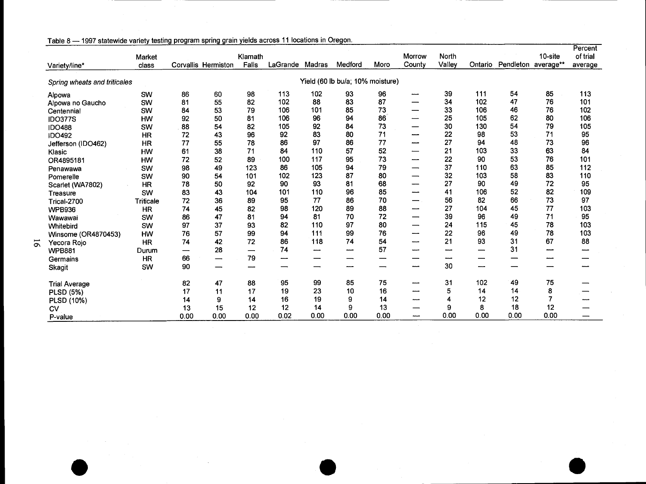|                              | Market           |                          |                          | Klamath                  |                 |      |                                  |                                 | Morrow                       | North  |                          |                             | 10-site                  | Percent<br>of trial |
|------------------------------|------------------|--------------------------|--------------------------|--------------------------|-----------------|------|----------------------------------|---------------------------------|------------------------------|--------|--------------------------|-----------------------------|--------------------------|---------------------|
| Variety/line*                | class            |                          | Corvallis Hermiston      | Falls                    | LaGrande Madras |      | Medford                          | Moro                            | County                       | Valley |                          | Ontario Pendleton average** |                          | average             |
| Spring wheats and triticales |                  |                          |                          |                          |                 |      | Yield (60 lb bu/a; 10% moisture) |                                 |                              |        |                          |                             |                          |                     |
| Alpowa                       | SW               | 86                       | 60                       | 98                       | 113             | 102  | 93                               | 96                              | ---                          | 39     | 111                      | 54                          | 85                       | 113                 |
| Alpowa no Gaucho             | SW               | 81                       | 55                       | 82                       | 102             | 88   | 83                               | 87                              | $\overline{\phantom{0}}$     | 34     | 102                      | 47                          | 76                       | 101                 |
| Centennial                   | SW               | 84                       | 53                       | 79                       | 106             | 101  | 85                               | 73                              | $\qquad \qquad \blacksquare$ | 33     | 106                      | 46                          | 76                       | 102                 |
| <b>IDO377S</b>               | HW               | 92                       | 50                       | 81                       | 106             | 96   | 94                               | 86                              | Ξ,                           | 25     | 105                      | 62                          | 80                       | 106                 |
| <b>IDO488</b>                | SW               | 88                       | 54                       | 82                       | 105             | 92   | 84                               | 73                              | $\overline{\phantom{0}}$     | 30     | 130                      | 54                          | 79                       | 105                 |
| <b>IDO492</b>                | <b>HR</b>        | 72                       | 43                       | 96                       | 92              | 83   | 80                               | 71                              | ---                          | 22     | 98                       | 53                          | 71                       | 95                  |
| Jefferson (IDO462)           | <b>HR</b>        | 77                       | 55                       | 78                       | 86              | 97   | 86                               | 77                              | --                           | 27     | 94                       | 48                          | 73                       | 96                  |
| Klasic                       | HW               | 61                       | 38                       | 71                       | 84              | 110  | 57                               | 52                              |                              | 21     | 103                      | 33                          | 63                       | 84                  |
| OR4895181                    | HW               | 72                       | 52                       | 89                       | 100             | 117  | 95                               | 73                              | --                           | 22     | 90                       | 53                          | 76                       | 101                 |
| Penawawa                     | SW               | 98                       | 49                       | 123                      | 86              | 105  | 94                               | 79                              | $\overline{\phantom{0}}$     | 37     | 110                      | 63                          | 85                       | 112                 |
| Pomerelle                    | SW               | 90                       | 54                       | 101                      | 102             | 123  | 87                               | 80                              | $\overline{\phantom{0}}$     | 32     | 103                      | 58                          | 83                       | 110                 |
| Scarlet (WA7802)             | <b>HR</b>        | 78                       | 50                       | 92                       | 90              | 93   | 81                               | 68                              | $\overline{\phantom{m}}$     | 27     | 90                       | 49                          | 72                       | 95                  |
| Treasure                     | SW               | 83                       | 43                       | 104                      | 101             | 110  | 96                               | 85                              | ---                          | 41     | 106                      | 52                          | 82                       | 109                 |
| <b>Trical-2700</b>           | <b>Triticale</b> | 72                       | 36                       | 89                       | 95              | 77   | 86                               | 70                              | $\overline{\phantom{0}}$     | 56     | 82                       | 66                          | 73                       | 97                  |
| <b>WPB936</b>                | <b>HR</b>        | 74                       | 45                       | 82                       | 98              | 120  | 89                               | 88                              | ---                          | 27     | 104                      | 45                          | 77                       | 103                 |
| Wawawai                      | SW               | 86                       | 47                       | 81                       | 94              | 81   | 70                               | 72                              | $\overline{\phantom{m}}$     | 39     | 96                       | 49                          | 71                       | 95                  |
| Whitebird                    | SW               | 97                       | 37                       | 93                       | 82              | 110  | 97                               | 80                              | $\overline{\phantom{m}}$     | 24     | 115                      | 45                          | 78                       | 103                 |
| Winsome (OR4870453)          | HW               | 76                       | 57                       | 99                       | 94              | 111  | 99                               | 76                              | ---                          | 22     | 96                       | 49                          | 78                       | 103                 |
| Yecora Rojo                  | <b>HR</b>        | 74                       | 42                       | 72                       | 86              | 118  | 74                               | 54                              | ---                          | 21     | 93                       | 31                          | 67                       | 88                  |
| <b>WPB881</b>                | Durum            | $\overline{\phantom{0}}$ | 28                       | $\overline{\phantom{0}}$ | 74              | ---  | ---                              | 57                              | $\overline{\phantom{a}}$     | --     | $\overline{\phantom{0}}$ | 31                          | ---                      | ---                 |
| Germains                     | <b>HR</b>        | 66                       | —                        | 79                       | --              | —    | —                                | $\overbrace{\phantom{13333}}$   | $\overline{\phantom{m}}$     | --     | $\overline{\phantom{0}}$ | $\overline{\phantom{0}}$    | --                       | —                   |
| Skagit                       | SW               | 90                       | $\overline{\phantom{0}}$ | ---                      | —               | —    | ---                              | $\qquad \qquad \longrightarrow$ | ---                          | 30     | ---                      | $\overline{\phantom{0}}$    | $\overline{\phantom{0}}$ |                     |
| <b>Trial Average</b>         |                  | 82                       | 47                       | 88                       | 95              | 99   | 85                               | 75                              | --                           | 31     | 102                      | 49                          | 75                       |                     |
| <b>PLSD (5%)</b>             |                  | 17                       | 11                       | 17                       | 19              | 23   | 10                               | 16                              | ---                          | 5      | 14                       | 14                          | 8                        |                     |
| PLSD (10%)                   |                  | 14                       | 9                        | 14                       | 16              | 19   | 9                                | 14                              | ---                          | 4      | 12                       | 12                          | 7                        |                     |
| CV                           |                  | 13                       | 15                       | 12                       | 12              | 14   | 9                                | 13                              | $\overline{\phantom{m}}$     | 9      | 8                        | 18                          | 12                       |                     |
| P-value                      |                  | 0.00                     | 0.00                     | 0.00                     | 0.02            | 0.00 | 0.00                             | 0.00                            | --                           | 0.00   | 0.00                     | 0.00                        | 0.00                     |                     |
|                              |                  |                          |                          |                          |                 |      |                                  |                                 |                              |        |                          |                             |                          |                     |
|                              |                  |                          |                          |                          |                 |      |                                  |                                 |                              |        |                          |                             |                          |                     |
|                              |                  |                          |                          |                          |                 |      |                                  |                                 |                              |        |                          |                             |                          |                     |
|                              |                  |                          |                          |                          |                 |      |                                  |                                 |                              |        |                          |                             |                          |                     |
|                              |                  |                          |                          |                          |                 |      |                                  |                                 |                              |        |                          |                             |                          |                     |
|                              |                  |                          |                          |                          |                 |      |                                  |                                 |                              |        |                          |                             |                          |                     |
|                              |                  |                          |                          |                          |                 |      |                                  |                                 |                              |        |                          |                             |                          |                     |

### Table 8 - 1997 statewide variety testing program spring grain yields across 11 locations in Oregon.

 $\overline{9}$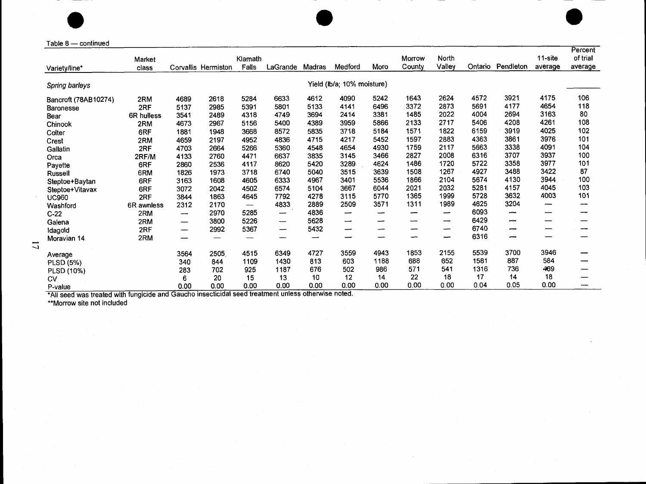| Table 8 $-$ |  | continued |
|-------------|--|-----------|
|-------------|--|-----------|

|                                                                                                     |                 |                          |                     |                                 |                          |        |                            |                          | Morrow                   | North                    |         |                          | 11-site                  | Percent<br>of trial |
|-----------------------------------------------------------------------------------------------------|-----------------|--------------------------|---------------------|---------------------------------|--------------------------|--------|----------------------------|--------------------------|--------------------------|--------------------------|---------|--------------------------|--------------------------|---------------------|
| Variety/line*                                                                                       | Market<br>class |                          | Corvallis Hermiston | Klamath<br>Falls                | LaGrande                 | Madras | Medford                    | Moro                     | County                   | Valley                   | Ontario | Pendleton                | average                  | average             |
| Spring barleys                                                                                      |                 |                          |                     |                                 |                          |        | Yield (lb/a; 10% moisture) |                          |                          |                          |         |                          |                          |                     |
| Bancroft (78AB10274)                                                                                | 2RM             | 4689                     | 2618                | 5284                            | 6633                     | 4612   | 4090                       | 5242                     | 1643                     | 2624                     | 4572    | 3921                     | 4175                     | 106                 |
|                                                                                                     | 2RF             | 5137                     | 2985                | 5391                            | 5801                     | 5133   | 4141                       | 6496                     | 3372                     | 2873                     | 5691    | 4177                     | 4654                     | 118                 |
| <b>Baronesse</b><br>Bear                                                                            | 6R hulless      | 3541                     | 2489                | 4318                            | 4749                     | 3694   | 2414                       | 3381                     | 1485                     | 2022                     | 4004    | 2694                     | 3163                     | 80                  |
|                                                                                                     | 2RM             | 4673                     | 2967                | 5156                            | 5400                     | 4389   | 3959                       | 5866                     | 2133                     | 2717                     | 5406    | 4208                     | 4261                     | 108                 |
| Chinook                                                                                             |                 | 1881                     | 1948                | 3668                            | 8572                     | 5835   | 3718                       | 5184                     | 1571                     | 1822                     | 6159    | 3919                     | 4025                     | 102                 |
| Colter                                                                                              | 6RF             |                          |                     | 4952                            | 4836                     | 4715   | 4217                       | 5452                     | 1597                     | 2883                     | 4363    | 3861                     | 3976                     | 101                 |
| Crest                                                                                               | 2RM             | 4659                     | 2197                | 5266                            | 5360                     | 4548   | 4654                       | 4930                     | 1759                     | 2117                     | 5663    | 3338                     | 4091                     | 104                 |
| Gallatin                                                                                            | 2RF             | 4703                     | 2664                |                                 |                          |        | 3145                       | 3466                     | 2827                     | 2008                     | 6316    | 3707                     | 3937                     | 100                 |
| Orca                                                                                                | 2RF/M           | 4133                     | 2760                | 4471                            | 6637                     | 3835   |                            | 4624                     | 1486                     | 1720                     | 5722    | 3358                     | 3977                     | 101                 |
| Payette                                                                                             | 6RF             | 2860                     | 2536                | 4117                            | 8620                     | 5420   | 3289                       |                          | 1508                     | 1267                     | 4927    | 3488                     | 3422                     | 87                  |
| Russell                                                                                             | 6RM             | 1826                     | 1973                | 3718                            | 6740                     | 5040   | 3515                       | 3639                     |                          |                          |         |                          |                          | 100                 |
| Steptoe+Baytan                                                                                      | 6RF             | 3163                     | 1608                | 4605                            | 6333                     | 4967   | 3401                       | 5536                     | 1866                     | 2104                     | 5674    | 4130                     | 3944                     |                     |
| Steptoe+Vitavax                                                                                     | 6RF             | 3072                     | 2042                | 4502                            | 6574                     | 5104   | 3667                       | 6044                     | 2021                     | 2032                     | 5281    | 4157                     | 4045                     | 103                 |
| <b>UC960</b>                                                                                        | 2RF             | 3844                     | 1863                | 4645                            | 7792                     | 4278   | 3115                       | 5770                     | 1365                     | 1999                     | 5728    | 3632                     | 4003                     | 101                 |
| Washford                                                                                            | 6R awnless      | 2312                     | 2170                | $\hspace{0.1mm}-\hspace{0.1mm}$ | 4833                     | 2889   | 2509                       | 3571                     | 1311                     | 1989                     | 4625    | 3204                     | $\overline{\phantom{0}}$ | --                  |
| $C-22$                                                                                              | 2RM             | $\overline{\phantom{a}}$ | 2970                | 5285                            | -                        | 4836   | $\overline{\phantom{a}}$   | -                        | $\overline{\phantom{m}}$ | $\overline{\phantom{0}}$ | 6093    | $\overline{\phantom{a}}$ |                          | --                  |
| Galena                                                                                              | 2RM             | $\overline{\phantom{m}}$ | 3800                | 5226                            | $\overline{\phantom{0}}$ | 5628   | $\overline{\phantom{a}}$   | $\overline{\phantom{0}}$ | $\overline{\phantom{a}}$ | $\overline{\phantom{a}}$ | 6429    | -                        | —                        |                     |
| Idagoid                                                                                             | 2RF             | $\overline{\phantom{a}}$ | 2992                | 5367                            | $\overline{\phantom{0}}$ | 5432   | $\overline{\phantom{a}}$   | --                       | $\overline{\phantom{m}}$ | $\hspace{0.05cm}$        | 6740    | --                       | —                        |                     |
| Moravian 14                                                                                         | 2RM             | $-$                      | —                   | $\qquad \qquad$                 | ---                      | ---    | $\overline{\phantom{m}}$   | —                        | --                       | $\overline{\phantom{m}}$ | 6316    | $\overline{\phantom{a}}$ | —                        |                     |
| Average                                                                                             |                 | 3564                     | 2505                | 4515                            | 6349                     | 4727   | 3559                       | 4943                     | 1853                     | 2155                     | 5539    | 3700                     | 3946                     |                     |
| <b>PLSD (5%)</b>                                                                                    |                 | 340                      | 844                 | 1109                            | 1430                     | 813    | 603                        | 1188                     | 688                      | 652                      | 1581    | 887                      | 584                      | --                  |
| PLSD (10%)                                                                                          |                 | 283                      | 702                 | 925                             | 1187                     | 676    | 502                        | 986                      | 571                      | 541                      | 1316    | 736                      | 489                      | —                   |
| <b>CV</b>                                                                                           |                 | 6                        | 20                  | 15                              | 13                       | 10     | 12                         | 14                       | 22                       | 18                       | 17      | 14                       | 18                       |                     |
| P-value                                                                                             |                 | 0.00                     | 0.00                | 0.00                            | 0.00                     | 0.00   | 0.00                       | 0.00                     | 0.00                     | 0.00                     | 0.04    | 0.05                     | 0.00                     | --                  |
| *All seed was treated with fungicide and Gaucho insecticidal seed treatment unless otherwise noted. |                 |                          |                     |                                 |                          |        |                            |                          |                          |                          |         |                          |                          |                     |
| **Morrow site not included                                                                          |                 |                          |                     |                                 |                          |        |                            |                          |                          |                          |         |                          |                          |                     |
|                                                                                                     |                 |                          |                     |                                 |                          |        |                            |                          |                          |                          |         |                          |                          |                     |
|                                                                                                     |                 |                          |                     |                                 |                          |        |                            |                          |                          |                          |         |                          |                          |                     |
|                                                                                                     |                 |                          |                     |                                 |                          |        |                            |                          |                          |                          |         |                          |                          |                     |
|                                                                                                     |                 |                          |                     |                                 |                          |        |                            |                          |                          |                          |         |                          |                          |                     |
|                                                                                                     |                 |                          |                     |                                 |                          |        |                            |                          |                          |                          |         |                          |                          |                     |

 $\overline{L}$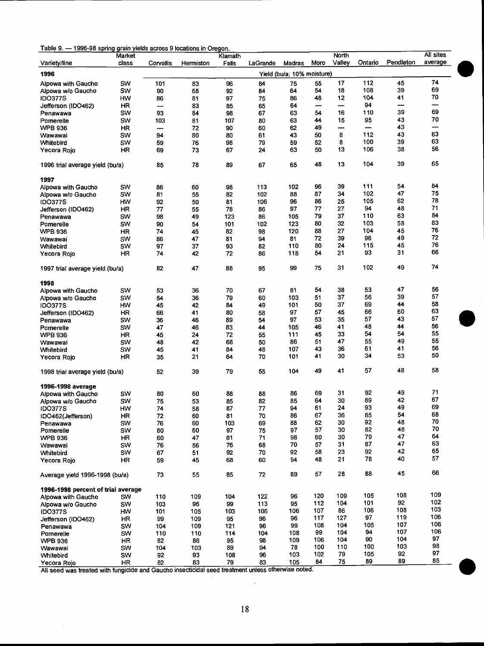|  |  | Table 9. - 1996-98 spring grain yields across 9 locations in Oregon. |
|--|--|----------------------------------------------------------------------|
|--|--|----------------------------------------------------------------------|

|                                         | Market    |           |           | Klamath   |          |                            |          | North  |            |                          | All sites |  |
|-----------------------------------------|-----------|-----------|-----------|-----------|----------|----------------------------|----------|--------|------------|--------------------------|-----------|--|
| Vanety/line                             | class     | Corvallis | Hermiston | Falls     | LaGrande | Madras                     | Moro     | Valley | Ontario    | Pendleton                | average   |  |
| 1996                                    |           |           |           |           |          | Yield (bu/a; 10% moisture) |          |        |            |                          |           |  |
|                                         |           |           |           |           |          |                            |          | 17     | 112        | 45                       | 74        |  |
| Alpowa with Gaucho<br>Alpowa w/o Gaucho | SW<br>SW  | 101<br>90 | 83<br>68  | 96<br>92  | 84<br>84 | 75<br>64                   | 55<br>54 | 18     | 108        | 39                       | 69        |  |
| <b>IDO377S</b>                          | нw        | 86        | 81        | 97        | 75       | 86                         | 48       | 12     | 104        | 41                       | 70        |  |
|                                         | HR        |           | 83        | 85        | 65       | 64                         |          | -      | 94         | $\overline{\phantom{0}}$ | —         |  |
| Jefferson (IDO462)                      | sw        | 93        | 84        | 98        | 67       | 63                         | 54       | 16     | 110        | 39                       | 69        |  |
| Penawawa                                | SW        | 103       |           |           |          | 63                         | 44       | 15     | 95         | 43                       | 70        |  |
| Pomerelle<br><b>WPB 936</b>             |           |           | 81        | 107       | 80       | 62                         | 49       | —      | —          | 43                       | -         |  |
|                                         | HR        |           | 72        | 90        | 60       | 43                         | 50       | 8      | 112        | 43                       | 63        |  |
| Wawawai                                 | SW<br>SW  | 94        | 80        | 80        | 61       | 59                         | 52       | 8      | 100        | 39                       | 63        |  |
| <b>Whitebird</b>                        |           | 59        | 76        | 98        | 79       |                            | 50       | 13     | 106        | 38                       | 56        |  |
| Yecora Rojo                             | HR        | 69        | 73        | 67        | 24       | 63                         |          |        |            |                          |           |  |
| 1996 trial average yield (bu/a)         |           | 85        | 78        | 89        | 67       | 65                         | 48       | 13     | 104        | 39                       | 65        |  |
| 1997                                    |           |           |           |           |          |                            |          |        |            |                          |           |  |
| Alpowa with Gaucho                      | SW        | 86        | 60        | 98        | 113      | 102                        | 96       | 39     | 111        | 54                       | 84        |  |
| Alpowa w/o Gaucho                       | sw        | 81        | 55        | 82        | 102      | 88                         | 87       | 34     | 102        | 47                       | 75        |  |
| <b>IDO377S</b>                          | нw        | 92        | 50        | 81        | 106      | 96                         | 86       | 25     | 105        | 62                       | 78        |  |
| Jefferson (IDO462)                      | HR        | 77        | 55        | 78        | 86       | 97                         | 77       | 27     | 94         | 48                       | 71        |  |
| Penawawa                                | SW        | 98        | 49        | 123       | 86       | 105                        | 79       | 37     | 110        | 63                       | 84        |  |
| Pomerelle                               | SW        | 90        | 54        | 101       | 102      | 123                        | 80       | 32     | 103        | 58                       | 83        |  |
| <b>WPB 936</b>                          | <b>HR</b> | 74        | 45        | 82        | 98       | 120                        | 88       | 27     | 104        | 45                       | 76        |  |
| Wawawai                                 | SW        | 86        | 47        | 81        | 94       | 81                         | 72       | 39     | 96         | 49                       | 72        |  |
| <b>Whitebird</b>                        | SW        | 97        | 37        | 93        | 82       | 110                        | 80       | 24     | 115        | 45                       | 76        |  |
| Yecora Rojo                             | HR        | 74        | 42        | 72        | 86       | 118                        | 54       | 21     | 93         | 31                       | 66        |  |
| 1997 trial average yield (bu/a)         |           | 82        | 47        | 88        | 95       | 99                         | 75       | 31     | 102        | 49                       | 74        |  |
|                                         |           |           |           |           |          |                            |          |        |            |                          |           |  |
| 1998                                    |           |           |           |           |          |                            |          |        |            |                          |           |  |
| Alpowa with Gaucho                      | sw        | 53        | 36        | 70        | 67       | 81                         | 54       | 38     | 53         | 47                       | 56        |  |
| Alpowa w/o Gaucho                       | sw        | 54        | 36        | 79        | 60       | 103                        | 51       | 37     | 56         | 39                       | 57        |  |
| <b>IDO377S</b>                          | нw        | 45        | 42        | 84        | 49       | 101                        | 50       | 37     | 69         | 44                       | 58        |  |
| Jefferson (IDO462)                      | HR        | 66        | 41        | 80        | 58       | 97                         | 57       | 45     | 66         | 60                       | 63        |  |
| Penawawa                                | SW        | 36        | 46        | 89        | 54       | 97                         | 53       | 35     | 57         | 43                       | 57        |  |
| Pomerelle                               | SW        | 47        | 46        | 83        | 44       | 105                        | 46       | 41     | 48         | 44                       | 56        |  |
| <b>WPB 936</b>                          | HR        | 45        | 24        | 72        | 55       | 111                        | 45       | 33     | 54         | 54                       | 55        |  |
| Wawawai                                 | SW        | 48        | 42        | 68        | 50       | 86                         | 51       | 47     | 55         | 49                       | 55        |  |
| Whitebird                               | SW        | 45        | 41        | 84        | 48       | 107                        | 43       | 36     | 61         | 41                       | 56        |  |
| Yecora Roio                             | HR        | 35        | 21        | 64        | 70       | 101                        | 41       | 30     | 34         | 53                       | 50        |  |
| 1998 trial average yield (bu/a)         |           | 52        | 39        | 79        | 55       | 104                        | 49       | 41     | 57         | 48                       | 58        |  |
|                                         |           |           |           |           |          |                            |          |        |            |                          |           |  |
| 1996-1998 average                       |           |           |           | 88        |          | 86                         | 69       | 31     | 92         | 49                       | 71        |  |
| Alpowa with Gaucho                      | sw        | 80        | 60        |           | 88       | 85                         | 64       | 30     | 89         | 42                       | 67        |  |
| Alpowa w/o Gaucho                       | SW        | 75        | 53        | 85        | 82       |                            | 61       | 24     | 93         | 49                       | 69        |  |
| <b>IDO377S</b>                          | нw        | 74        | 58        | 87        | 77<br>70 | 94<br>86                   | 67       | 36     | 85         | 54                       | 68        |  |
| IDO462(Jefferson)                       | HR        | 72        | 60<br>60  | 81<br>103 | 69       | 88                         | 62       | 30     | 92         | 48                       | 70        |  |
| Penawawa                                | SW        | 76        | 60        | 97        |          | 97                         | 57       | 30     | 82         | 48                       | 70        |  |
| Pomerelle                               | SW        | 80        |           |           | 75<br>71 | 98                         | 60       | 30     | 79         | 47                       | 64        |  |
| <b>WPB 936</b>                          | HR        | 60        | 47        | 81        |          | 70                         | 57       | 31     | 87         | 47                       | 63        |  |
| Wawawai                                 | SW        | 76        | 56        | 76        | 68       |                            | 58       | 23     | 92         | 42                       | 65        |  |
| Whitebird                               | sw        | 67        | 51        | 92        | 70<br>60 | 92<br>94                   | 48       | 21     | 78         | 40                       | 57        |  |
| Yecora Rojo                             | HR        | 59        | 45        | 68        |          |                            |          |        |            |                          |           |  |
| Average yield 1996-1998 (bu/a)          |           | 73        | 55        | 85        | 72       | 89                         | 57       | 28     | 88         | 45                       | 66        |  |
| 1996-1998 percent of trial average      |           |           |           |           |          |                            |          |        |            |                          | 109       |  |
| Alpowa with Gaucho                      | SW        | 110       | 109       | 104       | 122      | 96                         | 120      | 109    | 105<br>101 | 108<br>92                | 102       |  |
| Alpowa w/o Gaucho                       | SW        | 103       | 96        | 99        | 113      | 95                         | 112      | 104    |            |                          | 103       |  |
| <b>IDO377S</b>                          | нw        | 101       | 105       | 103       | 106      | 106                        | 107      | 86     | 106        | 108                      | 106       |  |
| Jefferson (IDO462)                      | HR        | 99        | 109       | 95        | 96       | 96                         | 117      | 127    | 97         | 119                      | 106       |  |
| Penawawa                                | SW        | 104       | 109       | 121       | 96       | 99                         | 108      | 104    | 105        | 107                      | 106       |  |
| Pomerelle                               | SW        | 110       | 110       | 114       | 104      | 108                        | 99       | 104    | 94         | 107                      | 97        |  |
| <b>WPB 936</b>                          | HR        | 82        | 86        | 95        | 98       | 109                        | 106      | 104    | 90         | 104                      | 98        |  |
| Wawawai                                 | SW        | 104       | 103       | 89        | 94       | 78                         | 100      | 110    | 100        | 103                      | 97        |  |
| Whitebird                               | SW        | 92        | 93        | 108       | 96       | 103                        | 102      | 79     | 105        | 92                       |           |  |
| Yecora Rojo                             | HR        | 82        | 83        | 79        | 83       | 105                        | 84       | 75     | 89         | 89                       | 85        |  |

All seed was treated with fungicide and Gaucho insecticidal seed treatment unless otherwise noted.

 $\bar{z}$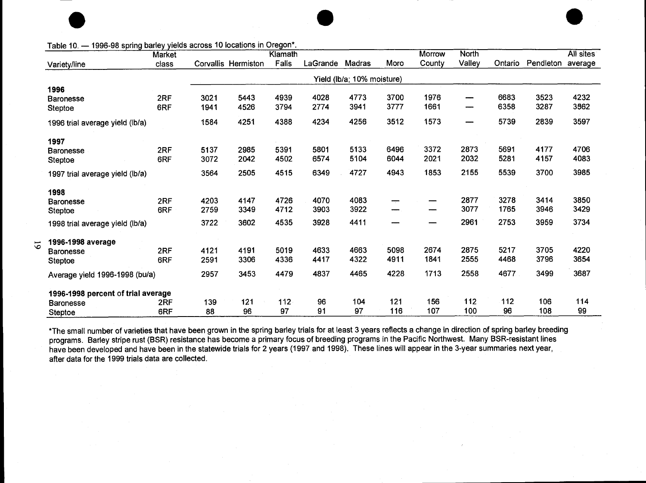

## Table 10. - 1996-98 spring barley yields across 10 locations in Oregon\*.

|                                    | <b>Market</b> |      |                     | Klamath |                 |                            |      | <b>Morrow</b> | North  |         |                   | All sites |
|------------------------------------|---------------|------|---------------------|---------|-----------------|----------------------------|------|---------------|--------|---------|-------------------|-----------|
| Variety/line                       | class         |      | Corvallis Hermiston | Falls   | LaGrande Madras |                            | Moro | County        | Valley | Ontario | Pendleton average |           |
|                                    |               |      |                     |         |                 | Yield (lb/a; 10% moisture) |      |               |        |         |                   |           |
| 1996                               |               |      |                     |         |                 |                            |      |               |        |         |                   |           |
| <b>Baronesse</b>                   | 2RF           | 3021 | 5443                | 4939    | 4028            | 4773                       | 3700 | 1976          |        | 6683    | 3523              | 4232      |
| <b>Steptoe</b>                     | 6RF           | 1941 | 4526                | 3794    | 2774            | 3941                       | 3777 | 1661          | —      | 6358    | 3287              | 3562      |
| 1996 trial average yield (lb/a)    |               | 1584 | 4251                | 4388    | 4234            | 4256                       | 3512 | 1573          | --     | 5739    | 2839              | 3597      |
| 1997                               |               |      |                     |         |                 |                            |      |               |        |         |                   |           |
| <b>Baronesse</b>                   | 2RF           | 5137 | 2985                | 5391    | 5801            | 5133                       | 6496 | 3372          | 2873   | 5691    | 4177              | 4706      |
| Steptoe                            | 6RF           | 3072 | 2042                | 4502    | 6574            | 5104                       | 6044 | 2021          | 2032   | 5281    | 4157              | 4083      |
| 1997 trial average yield (lb/a)    |               | 3564 | 2505                | 4515    | 6349            | 4727                       | 4943 | 1853          | 2155   | 5539    | 3700              | 3985      |
| 1998                               |               |      |                     |         |                 |                            |      |               |        |         |                   |           |
| <b>Baronesse</b>                   | 2RF           | 4203 | 4147                | 4726    | 4070            | 4083                       |      |               | 2877   | 3278    | 3414              | 3850      |
| Steptoe                            | 6RF           | 2759 | 3349                | 4712    | 3903            | 3922                       |      |               | 3077   | 1765    | 3946              | 3429      |
| 1998 trial average yield (lb/a)    |               | 3722 | 3602                | 4535    | 3928            | 4411                       |      |               | 2961   | 2753    | 3959              | 3734      |
| 1996-1998 average                  |               |      |                     |         |                 |                            |      |               |        |         |                   |           |
| <b>Baronesse</b>                   | 2RF           | 4121 | 4191                | 5019    | 4633            | 4663                       | 5098 | 2674          | 2875   | 5217    | 3705              | 4220      |
| Steptoe                            | 6RF           | 2591 | 3306                | 4336    | 4417            | 4322                       | 4911 | 1841          | 2555   | 4468    | 3796              | 3654      |
| Average yield 1996-1998 (bu/a)     |               | 2957 | 3453                | 4479    | 4837            | 4465                       | 4228 | 1713          | 2558   | 4677    | 3499              | 3687      |
| 1996-1998 percent of trial average |               |      |                     |         |                 |                            |      |               |        |         |                   |           |
|                                    |               | 139  | 121                 | $112 -$ | 96              | 104                        | 121  | 156           | 112    | 112     | 106               | 114       |
| <b>Baronesse</b>                   | 2RF           |      |                     | 97      | 91              | 97                         | 116  | 107           | 100    | 96      | 108               | 99        |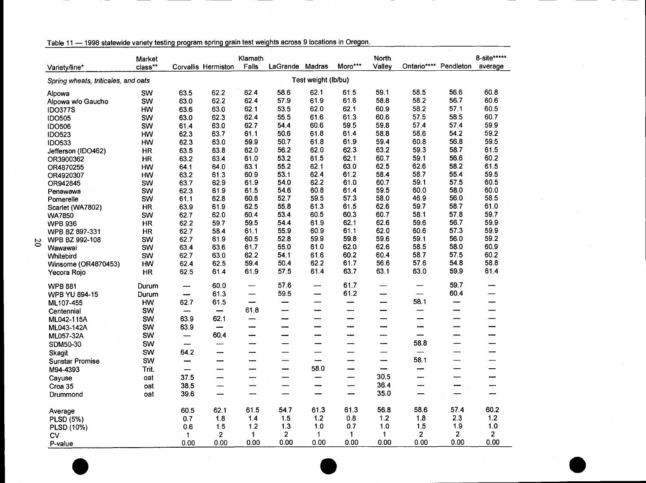| Table 11 — 1998 statewide variety testing program spring grain test weights across 9 locations in Oregon. |  |  |  |
|-----------------------------------------------------------------------------------------------------------|--|--|--|
|                                                                                                           |  |  |  |

|          | Variety/line*                       | Market<br>class** |                          | Corvallis Hermiston      | Klamath<br>Falls         | LaGrande | Madras                   | Moro***                  | North<br>Valley          | Ontario****    | Pendleton      | 8-site*****<br>average |
|----------|-------------------------------------|-------------------|--------------------------|--------------------------|--------------------------|----------|--------------------------|--------------------------|--------------------------|----------------|----------------|------------------------|
|          | Spring wheats, triticales, and oats |                   |                          |                          |                          |          | Test weight (lb/bu)      |                          |                          |                |                |                        |
|          | Alpowa                              | SW                | 63.5                     | 62.2                     | 62.4                     | 58.6     | 62.1                     | 61.5                     | 59.1                     | 58.5           | 56.6           | 60.8                   |
|          | Alpowa w/o Gaucho                   | SW                | 63.0                     | 62.2                     | 62.4                     | 57.9     | 61.9                     | 61.6                     | 58.8                     | 58.2           | 56.7           | 60.6                   |
|          | <b>IDO377S</b>                      | HW                | 63.6                     | 63.0                     | 62.1                     | 53.5     | 62.0                     | 62.1                     | 60.9                     | 58.2           | 57.1           | 60.5                   |
|          | <b>IDO505</b>                       | SW                | 63.0                     | 62.3                     | 62.4                     | 55.5     | 61.6                     | 61.3                     | 60.6                     | 57.5           | 58.5           | 60.7                   |
|          | <b>IDO506</b>                       | SW                | 61.4                     | 63.0                     | 62.7                     | 54.4     | 60.6                     | 59.5                     | 59.8                     | 57.4           | 57.4           | 59.9                   |
|          | <b>IDO523</b>                       | HW                | 62.3                     | 63.7                     | 61.1                     | 50.6     | 61.8                     | 61.4                     | 58.8                     | 58.6           | 54.2           | 59.2                   |
|          | <b>IDO533</b>                       | HW                | 62.3                     | 63.0                     | 59.9                     | 50.7     | 61.8                     | 61.9                     | 59.4                     | 60.8           | 56.8           | 59.5                   |
|          | Jefferson (IDO462)                  | <b>HR</b>         | 63.5                     | 63.8                     | 62.0                     | 56.2     | 62.0                     | 62.3                     | 63.2                     | 59.3           | 58.7           | 61.5                   |
|          | OR3900362                           | <b>HR</b>         | 63.2                     | 63.4                     | 61.0                     | 53.2     | 61.5                     | 62.1                     | 60.7                     | 59.1           | 56.6           | 60.2                   |
|          | OR4870255                           | HW                | 64.1                     | 64.0                     | 63.1                     | 55.2     | 62.1                     | 63.0                     | 62.5                     | 62.6           | 58.2           | 61.5                   |
|          | OR4920307                           | HW                | 63.2                     | 61.3                     | 60.9                     | 53.1     | 62.4                     | 61.2                     | 58.4                     | 58.7           | 55.4           | 59.5                   |
|          | OR942845                            | SW                | 63.7                     | 62.9                     | 61.9                     | 54.0     | 62.2                     | 61.0                     | 60.7                     | 59.1           | 57.5           | 60.5                   |
|          | Penawawa                            | SW                | 62.3                     | 61.9                     | 61.5                     | 54.6     | 60.8                     | 61.4                     | 59.5                     | 60.0           | 58.0           | 60.0                   |
|          | Pomerelle                           | SW                | 61.1                     | 62.8                     | 60.8                     | 52.7     | 59.5                     | 57.3                     | 58.0                     | 46.9           | 56.0           | 58.5                   |
|          | Scarlet (WA7802)                    | <b>HR</b>         | 63.9                     | 61.9                     | 62.5                     | 55.8     | 61.3                     | 61.5                     | 62.6                     | 59.7           | 58.7           | 61.0                   |
|          | <b>WA7850</b>                       | SW                | 62.7                     | 62.0                     | 60.4                     | 53.4     | 60.5                     | 60.3                     | 60.7                     | 58.1           | 57.8           | 59.7                   |
|          | <b>WPB 936</b>                      | HR                | 62.2                     | 59.7                     | 59.5                     | 54.4     | 61.9                     | 62.1                     | 62.6                     | 59.6           | 56.7           | 59.9                   |
|          | WPB BZ 897-331                      | <b>HR</b>         | 62.7                     | 58.4                     | 61.1                     | 55.9     | 60.9                     | 61.1                     | 62.0                     | 60.6           | 57.3           | 59.9                   |
| $\infty$ | WPB BZ 992-108                      | SW                | 62.7                     | 61.9                     | 60.5                     | 52.8     | 59.9                     | 59.8                     | 59.6                     | 59.1           | 56.0           | 59.2                   |
|          | Wawawai                             | SW                | 63.4                     | 63.6                     | 61.7                     | 55.0     | 61.0                     | 62.0                     | 62.6                     | 58.5           | 58.0           | 60.9                   |
|          | Whitebird                           | SW                | 62.7                     | 63.0                     | 62.2                     | 54.1     | 61.6                     | 60.2                     | 60.4                     | 58.7           | 57.5           | 60.2                   |
|          | Winsome (OR4870453)                 | HW                | 62.4                     | 62.5                     | 59.4                     | 50.4     | 62.2                     | 61.7                     | 56.6                     | 57.6           | 54.8           | 58.8                   |
|          | Yecora Rojo                         | HR                | 62.5                     | 61.4                     | 61.9                     | 57.5     | 61.4                     | 63.7                     | 63.1                     | 63.0           | 59.9           | 61.4                   |
|          | <b>WPB 881</b>                      | Durum             |                          | 60.0                     | $\overline{\phantom{a}}$ | 57.6     | --                       | 61.7                     | $\overline{\phantom{a}}$ |                | 59.7           |                        |
|          | <b>WPB YU 894-15</b>                | Durum             | ---                      | 61.3                     | $\qquad \qquad$          | 59.5     | ---                      | 61.2                     | ---                      | -----          | 60.4           |                        |
|          | ML107-455                           | HW                | 62.7                     | 61.5                     | ----                     | ----     | ------                   | ----                     | $\overline{\phantom{0}}$ | 58.1           | ---            | ---                    |
|          | Centennial                          | SW                | -                        | $\overline{\phantom{a}}$ | 61.8                     |          | ---                      |                          | ----                     |                | ---            |                        |
|          | ML042-115A                          | SW                | 63.9                     | 62.1                     |                          | ---      |                          | ÷,                       | ---                      |                | —              | —                      |
|          | ML043-142A                          | SW                | 63.9                     | ---                      | ---                      | ---      | ----                     | ----                     | ----                     | ----           | —              | ---                    |
|          | ML057-32A                           | SW                | $\overline{\phantom{a}}$ | 60.4                     |                          | ---      | ---                      | ---                      |                          | —              | —              | ---                    |
|          | SDM50-30                            | SW                | $\overline{\phantom{0}}$ | ---                      | ----                     | —        | ---                      |                          | ---                      | 58.8           |                |                        |
|          | Skagit                              | SW                | 64.2                     | ---                      | ----                     | —        | ---                      | —                        |                          | —              | -----          | ---                    |
|          | <b>Sunstar Promise</b>              | SW                | ---                      | ---                      | ----                     |          | ---                      | ---                      | ---                      | 58.1           | ---            |                        |
|          | M94-4393                            | Trit.             |                          |                          | —                        | ---      | 58.0                     | ---                      | ----                     | ----           |                |                        |
|          | Cayuse                              | oat               | 37.5                     |                          |                          |          | --                       | ----                     | 30.5                     | ----           | --             | ---                    |
|          | Croa 35                             | oat               | 38.5                     |                          |                          |          | ---                      |                          | 36.4                     |                | --             |                        |
|          | Drummond                            | oat               | 39.6                     | ---                      |                          |          | $\overline{\phantom{a}}$ | $\overline{\phantom{a}}$ | 35.0                     | —              |                |                        |
|          | Average                             |                   | 60.5                     | 62.1                     | 61.5                     | 54.7     | 61.3                     | 61.3                     | 56.8                     | 58.6           | 57.4           | 60.2                   |
|          | PLSD (5%)                           |                   | 0.7                      | 1.8                      | 1.4                      | 1.5      | 1.2                      | 0.8                      | $1.2$                    | $1.8$          | $2.3$          | 1.2                    |
|          | PLSD (10%)                          |                   | 0.6                      | 1.5                      | $1.2$                    | 1.3      | 1.0                      | 0.7                      | 1.0                      | 1.5            | 1.9            | 1.0                    |
|          | <b>CV</b>                           |                   | $\mathbf 1$              | $\overline{2}$           | $\mathbf{1}$             | 2.       | $\mathbf 1$              | $\mathbf 1$              | $\mathbf 1$              | 2 <sup>1</sup> | $\overline{2}$ | $\mathbf{2}$           |
|          | P-value                             |                   | 0.00                     | 0.00                     | 0.00                     | 0.00     | 0.00                     | 0.00                     | 0.00                     | 0.00           | 0.00           | 0.00                   |
|          |                                     |                   |                          |                          |                          |          |                          |                          |                          |                |                |                        |
|          |                                     |                   |                          |                          |                          |          |                          |                          |                          |                |                |                        |

0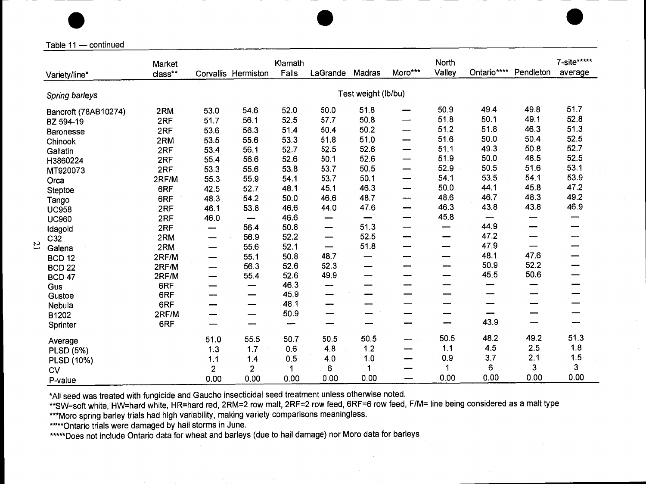|                                                                                                                                                                                                                                      | Market  |                |                     | Klamath |                 |                          |                                | North  |             |                 | 7-site***** |
|--------------------------------------------------------------------------------------------------------------------------------------------------------------------------------------------------------------------------------------|---------|----------------|---------------------|---------|-----------------|--------------------------|--------------------------------|--------|-------------|-----------------|-------------|
| Variety/line*                                                                                                                                                                                                                        | class** |                | Corvallis Hermiston | Falls   | LaGrande Madras |                          | Moro***                        | Valley | Ontario**** | Pendleton       | average     |
|                                                                                                                                                                                                                                      |         |                |                     |         |                 |                          |                                |        |             |                 |             |
| Spring barleys                                                                                                                                                                                                                       |         |                |                     |         |                 | Test weight (lb/bu)      |                                |        |             |                 |             |
| Bancroft (78AB10274)                                                                                                                                                                                                                 | 2RM     | 53.0           | 54.6                | 52.0    | 50.0            | 51.8                     |                                | 50.9   | 49.4        | 49.8            | 51.7        |
| BZ 594-19                                                                                                                                                                                                                            | 2RF     | 51.7           | 56.1                | 52.5    | 57.7            | 50.8                     | —                              | 51.8   | 50.1        | 49.1            | 52.8        |
| <b>Baronesse</b>                                                                                                                                                                                                                     | 2RF     | 53.6           | 56.3                | 51.4    | 50.4            | 50.2                     | --                             | 51.2   | 51.8        | 46.3            | 51.3        |
| Chinook                                                                                                                                                                                                                              | 2RM     | 53.5           | 55.6                | 53.3    | 51.8            | 51.0                     | —                              | 51.6   | 50.0        | 50.4            | 52.5        |
| Gallatin                                                                                                                                                                                                                             | 2RF     | 53.4           | 56.1                | 52.7    | 52.5            | 52.6                     | —                              | 51.1   | 49.3        | 50.8            | 52.7        |
| H3860224                                                                                                                                                                                                                             | 2RF     | 55.4           | 56.6                | 52.6    | 50.1            | 52.6                     | —                              | 51.9   | 50.0        | 48.5            | 52.5        |
| MT920073                                                                                                                                                                                                                             | 2RF     | 53.3           | 55.6                | 53.8    | 53.7            | 50.5                     | —                              | 52.9   | 50.5        | 51.6            | 53.1        |
| Orca                                                                                                                                                                                                                                 | 2RF/M   | 55.3           | 55.9                | 54.1    | 53.7            | 50.1                     | —                              | 54.1   | 53.5        | 54.1            | 53.9        |
| Steptoe                                                                                                                                                                                                                              | 6RF     | 42.5           | 52.7                | 48.1    | 45.1            | 46.3                     | --                             | 50.0   | 44.1        | 45.8            | 47.2        |
| Tango                                                                                                                                                                                                                                | 6RF     | 48.3           | 54.2                | 50.0    | 46.6            | 48.7                     | --                             | 48.6   | 46.7        | 48.3            | 49.2        |
| <b>UC958</b>                                                                                                                                                                                                                         | 2RF     | 46.1           | 53.8                | 46.6    | 44.0            | 47.6                     | —                              | 46.3   | 43.8        | 43.8            | 46.9        |
| <b>UC960</b>                                                                                                                                                                                                                         | 2RF     | 46.0           | $\hspace{0.05cm}$   | 46.6    | —               |                          | —                              | 45.8   |             |                 |             |
| Idagold                                                                                                                                                                                                                              | 2RF     |                | 56.4                | 50.8    | —               | 51.3                     | —                              | —      | 44.9        |                 |             |
| C32                                                                                                                                                                                                                                  | 2RM     |                | 56.9                | 52.2    | —               | 52.5                     | —                              | —      | 47.2        | —               |             |
| Galena                                                                                                                                                                                                                               | 2RM     |                | 55.6                | 52.1    | —               | 51.8                     | —                              | —      | 47.9        | $\qquad \qquad$ |             |
| <b>BCD 12</b>                                                                                                                                                                                                                        | 2RF/M   |                | 55.1                | 50.8    | 48.7            | —                        | —                              |        | 48.1        | 47.6            | -           |
| <b>BCD 22</b>                                                                                                                                                                                                                        | 2RF/M   | -              | 56.3                | 52.6    | 52.3            | —                        | —                              | —      | 50.9        | 52.2            | --          |
| <b>BCD 47</b>                                                                                                                                                                                                                        | 2RF/M   |                | 55.4                | 52.6    | 49.9            | --                       | $\overline{\phantom{0}}$       | --     | 45.5        | 50.6            | —           |
| Gus                                                                                                                                                                                                                                  | 6RF     |                | —                   | 46.3    | —               |                          | $\overline{\phantom{0}}$       | —      | -           | —               |             |
| Gustoe                                                                                                                                                                                                                               | 6RF     | —              | —                   | 45.9    | —               | —                        | $\qquad \qquad \longleftarrow$ | —      | --          |                 |             |
| Nebula                                                                                                                                                                                                                               | 6RF     |                | --                  | 48.1    | —               | $\overline{\phantom{m}}$ | —                              | —      |             |                 | —           |
| B1202                                                                                                                                                                                                                                | 2RF/M   |                |                     | 50.9    |                 |                          |                                |        |             |                 | --          |
| Sprinter                                                                                                                                                                                                                             | 6RF     |                |                     | ---     |                 |                          | —                              | -      | 43.9        |                 | —           |
| Average                                                                                                                                                                                                                              |         | 51.0           | 55.5                | 50.7    | 50.5            | 50.5                     | --                             | 50.5   | 48.2        | 49.2            | 51.3        |
| <b>PLSD (5%)</b>                                                                                                                                                                                                                     |         | 1.3            | 1.7                 | 0.6     | 4.8             | 1.2                      | -                              | 1.1    | 4.5         | 2.5             | 1.8         |
| PLSD (10%)                                                                                                                                                                                                                           |         | 1.1            | 1.4                 | 0.5     | 4.0             | 1.0                      | —                              | 0.9    | 3.7         | 2.1             | 1.5         |
| <b>CV</b>                                                                                                                                                                                                                            |         | $\overline{2}$ | $\overline{2}$      | 1       | 6               | 1                        |                                | 1      | 6           | 3               | 3           |
| P-value                                                                                                                                                                                                                              |         | 0.00           | 0.00                | 0.00    | 0.00            | 0.00                     |                                | 0.00   | 0.00        | 0.00            | 0.00        |
| *All seed was treated with fungicide and Gaucho insecticidal seed treatment unless otherwise noted.                                                                                                                                  |         |                |                     |         |                 |                          |                                |        |             |                 |             |
| **SW=soft white, HW=hard white, HR=hard red, 2RM=2 row malt, 2RF=2 row feed, 6RF=6 row feed, F/M= line being considered as a malt type<br>***Moro spring barley trials had high variability, making variety comparisons meaningless. |         |                |                     |         |                 |                          |                                |        |             |                 |             |
| ***** Ontario trials were damaged by hail storms in June.                                                                                                                                                                            |         |                |                     |         |                 |                          |                                |        |             |                 |             |
| *****Does not include Ontario data for wheat and barleys (due to hail damage) nor Moro data for barleys                                                                                                                              |         |                |                     |         |                 |                          |                                |        |             |                 |             |
|                                                                                                                                                                                                                                      |         |                |                     |         |                 |                          |                                |        |             |                 |             |
|                                                                                                                                                                                                                                      |         |                |                     |         |                 |                          |                                |        |             |                 |             |
|                                                                                                                                                                                                                                      |         |                |                     |         |                 |                          |                                |        |             |                 |             |

 $\overline{c}$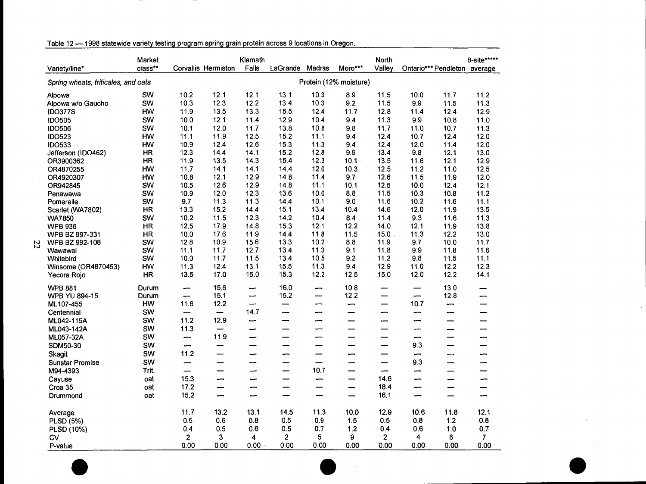|                                     | Market  |                          |                               | Klamath                  |                          |                          |                          | North                    |                          |                              | 8-site*****              |
|-------------------------------------|---------|--------------------------|-------------------------------|--------------------------|--------------------------|--------------------------|--------------------------|--------------------------|--------------------------|------------------------------|--------------------------|
| Variety/line*                       | class** |                          | Corvallis Hermiston           | Falls                    | LaGrande                 | Madras                   | Moro***                  | Valley                   |                          | Ontario*** Pendleton average |                          |
| Spring wheats, triticales, and oats |         |                          |                               |                          |                          |                          | Protein (12% moisture)   |                          |                          |                              |                          |
| Alpowa                              | SW      | 10.2                     | 12.1                          | 12.1                     | 13.1                     | 10.3                     | 8.9                      | 11.5                     | 10.0                     | 11.7                         | 11.2                     |
| Alpowa w/o Gaucho                   | SW      | 10.3                     | 12.3                          | 12.2                     | 13.4                     | 10.3                     | 9.2                      | 11.5                     | 9.9                      | 11.5                         | 11.3                     |
| <b>IDO377S</b>                      | HW      | 11.9                     | 13.5                          | 13.3                     | 15.5                     | 12.4                     | 11.7                     | 12.8                     | 11.4                     | 12.4                         | 12.9                     |
| <b>IDO505</b>                       | SW      | 10.0                     | 12.1                          | 11.4                     | 12.9                     | 10.4                     | 9.4                      | 11.3                     | 9.9                      | 10.8                         | 11.0                     |
| <b>IDO506</b>                       | SW      | 10.1                     | 12.0                          | 11.7                     | 13.8                     | 10.8                     | 9.8                      | 11.7                     | 11.0                     | 10.7                         | 11.3                     |
| <b>IDO523</b>                       | HW      | 11.1                     | 11.9                          | 12.5                     | 15.2                     | 11.1                     | 9.4                      | 12.4                     | 10.7                     | 12.4                         | 12.0                     |
| <b>IDO533</b>                       | HW      | 10.9                     | 12.4                          | 12.6                     | 15.3                     | 11.3                     | 9.4                      | 12.4                     | 12.0                     | 11.4                         | 12.0                     |
| Jefferson (IDO462)                  | HR      | 12.3                     | 14.4                          | 14.1                     | 15.2                     | 12.8                     | 9.9                      | 13.4                     | 9.8                      | 12.1                         | 13.0                     |
| OR3900362                           | HR      | 11.9                     | 13.5                          | 14.3                     | 15.4                     | 12.3                     | 10.1                     | 13.5                     | 11.6                     | 12.1                         | 12.9                     |
| OR4870255                           | HW      | 11.7                     | 14.1                          | 14.1                     | 14.4                     | 12.0                     | 10.3                     | 12.5                     | 11.2                     | 11.0                         | 12.5                     |
| OR4920307                           | HW      | 10.8                     | 12.1                          | 12.9                     | 14.8                     | 11.4                     | 9.7                      | 12.6                     | 11.5                     | 11.9                         | 12.0                     |
| OR942845                            | SW      | 10.5                     | 12.6                          | 12.9                     | 14.8                     | 11.1                     | 10.1                     | 12.5                     | 10.0                     | 12.4                         | 12.1                     |
| Penawawa                            | SW      | 10.9                     | 12.0                          | 12.3                     | 13.6                     | 10.0                     | 8.8                      | 11.5                     | 10.3                     | 10.8                         | 11.2                     |
| Pomerelle                           | SW      | 9.7                      | 11.3                          | 11.3                     | 14.4                     | 10.1                     | 9.0                      | 11.6                     | 10.2                     | 11.6                         | 11.1                     |
| Scarlet (WA7802)                    | HR      | 13.3                     | 15.2                          | 14.4                     | 15.1                     | 13,4                     | 10.4                     | 14.6                     | 12.0                     | 11.9                         | 13.5                     |
| WA7850                              | SW      | 10.2                     | 11.5                          | 12.3                     | 14.2                     | 10.4                     | 8.4                      | 11.4                     | 9.3                      | 11.6                         | 11.3                     |
| <b>WPB 936</b>                      | HR      | 12.5                     | 17.9                          | 14.8                     | 15.3                     | 12.1                     | 12.2                     | 14.0                     | 12.1                     | 11.9                         | 13.8                     |
| WPB BZ 897-331                      | HR      | 10.0                     | 17.6                          | 11.9                     | 14.4                     | 11.8                     | 11.5                     | $15.0$ .                 | 11.3                     | 12.2                         | 13.0                     |
| WPB BZ 992-108                      | SW      | 12.8                     | 10.9                          | 15.6                     | 13.3                     | 10.2                     | 8.8                      | 11.9                     | 9.7                      | 10.0                         | 11.7                     |
| Wawawai                             | SW      | 11.1                     | 11.7                          | 12.7                     | 13.4                     | 11.3                     | 9.1                      | 11.8                     | 9.9                      | 11.8                         | 11.6                     |
| Whitebird                           | SW      | 10.0                     | 11.7                          | 11.5                     | 13.4                     | 10.5                     | 9.2                      | 11.2                     | 9.8                      | 11.5                         | 11.1                     |
| Winsome (OR4870453)                 | HW      | 11.3                     | 12.4                          | 13.1                     | 15.5                     | 11.3                     | 9.4                      | 12.9                     | 11.0                     | 12.2                         | 12.3                     |
| Yecora Rojo                         | HR      | 13.5                     | 17.0                          | 15.0                     | 15.3                     | 12.2                     | 12.5                     | 15.0                     | 12.0                     | 12.2                         | 14.1                     |
| <b>WPB 881</b>                      | Durum   | -                        | 15.6                          | $\overline{\phantom{0}}$ | 16.0                     | -                        | 10.8                     |                          | —                        | 13.0                         |                          |
| <b>WPB YU 894-15</b>                | Durum   | -                        | 15.1                          | --                       | 15.2                     | —                        | 12.2                     | $\overline{\phantom{0}}$ | —<br>—                   | 12.8                         | $\overline{\phantom{0}}$ |
| ML107-455                           | HW      | 11.6                     | 12.2                          | مسد                      | —                        | -                        | -                        | —                        | 10.7                     | $\overline{\phantom{0}}$     | —                        |
| Centennial                          | SW      |                          |                               | 14.7                     | -                        | -                        | —                        | -                        | -                        | -                            |                          |
| ML042-115A                          | SW      | 11.2                     | 12.9                          | —                        | —                        | -                        | —                        | -                        | -                        | —                            | —                        |
| ML043-142A                          | SW      | 11.3                     | $\overline{\phantom{0}}$      | -                        | $\overline{\phantom{0}}$ | -                        |                          | $\overline{\phantom{0}}$ | -                        | —                            |                          |
| ML057-32A                           | SW      | $\overline{\phantom{0}}$ | 11.9                          | -                        | —                        | -                        | —                        | —                        | $\overline{\phantom{0}}$ | —                            | -                        |
| SDM50-30                            | SW      | -                        | -                             | -                        | -                        | -                        | -                        | -                        | 9.3                      | —                            | -                        |
| Skagit                              | SW      | 11.2                     | مسما                          | -                        | -                        | —                        | $\overline{\phantom{0}}$ | —                        | -                        | ----                         |                          |
| <b>Sunstar Promise</b>              | SW      | —                        | —                             | -                        | —                        | —                        | ∽                        | $\overline{\phantom{0}}$ | 9.3                      | -                            | --                       |
| M94-4393                            | Trit.   | $\overline{\phantom{0}}$ | $\overline{\phantom{0}}$      | --                       | —                        | 10.7                     | —                        | -                        | -                        | —                            |                          |
| Cayuse                              | oat     | 15.3                     | $\overbrace{\phantom{aaaaa}}$ | --                       | $\overline{\phantom{0}}$ | -                        | —                        | 14.6                     | -                        | -                            | --                       |
| Croa 35                             | oat     | 17.2                     |                               | $\overline{\phantom{0}}$ | $\overline{\phantom{0}}$ | $\overline{\phantom{0}}$ | ÷,                       | 18.4                     | -                        | —                            |                          |
| Drummond                            | oat     | 15.2                     | $\overline{\phantom{0}}$      | —                        | $\hspace{0.05cm}$        | $\overline{\phantom{0}}$ | $\overline{\phantom{0}}$ | 16.1                     | -                        | $\qquad \qquad$              | ---                      |
| Average                             |         | 11.7                     | 13.2                          | 13.1                     | 14.5                     | 11.3                     | 10.0                     | 12.9                     | 10.6                     | 11.8                         | 12.1                     |
| PLSD (5%)                           |         | 0.5                      | 0.6                           | 0.8                      | 0.5                      | 0.9                      | 1.5                      | 0.5                      | 0.8                      | 1.2                          | 0,8                      |
| PLSD (10%)                          |         | 0.4                      | 0.5                           | 0,6                      | 0.5                      | 0.7                      | 1.2                      | 0.4                      | 0.6                      | 1.0                          | 0.7                      |
| CV                                  |         | $\overline{2}$           | 3                             | 4                        | $\overline{2}$           | 5                        | 9                        | $\overline{2}$           | $\overline{\mathbf{4}}$  | 6                            | $\overline{7}$           |
| P-value                             |         | 0.00                     | 0.00                          | 0.00                     | 0.00                     | 0.00                     | 0.00                     | 0.00                     | 0.00                     | 0.00                         | 0.00                     |
|                                     |         |                          |                               |                          |                          |                          |                          |                          |                          |                              |                          |
|                                     |         |                          |                               |                          |                          |                          |                          |                          |                          |                              |                          |
|                                     |         |                          |                               |                          |                          |                          |                          |                          |                          |                              |                          |
|                                     |         |                          |                               |                          |                          |                          |                          |                          |                          |                              |                          |

Table 12 - 1998 statewide variety testing program spring grain protein across 9 locations in Oregon.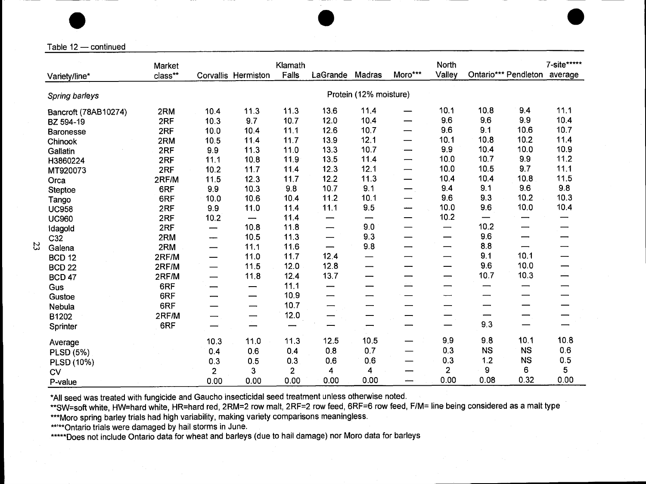Table  $12$  - continued

|                                                                                                                                                                                                                                                                                                                                                                                                                                                                                                                     | Market  |                          |                               | Klamath |                          |                               |                          | North                    |                          |                              | 7-site***** |
|---------------------------------------------------------------------------------------------------------------------------------------------------------------------------------------------------------------------------------------------------------------------------------------------------------------------------------------------------------------------------------------------------------------------------------------------------------------------------------------------------------------------|---------|--------------------------|-------------------------------|---------|--------------------------|-------------------------------|--------------------------|--------------------------|--------------------------|------------------------------|-------------|
| Variety/line*                                                                                                                                                                                                                                                                                                                                                                                                                                                                                                       | class** |                          | Corvallis Hermiston           | Falls   | LaGrande Madras          |                               | Moro***                  | Valley                   |                          | Ontario*** Pendleton average |             |
| Spring barleys                                                                                                                                                                                                                                                                                                                                                                                                                                                                                                      |         |                          |                               |         |                          | Protein (12% moisture)        |                          |                          |                          |                              |             |
| Bancroft (78AB10274)                                                                                                                                                                                                                                                                                                                                                                                                                                                                                                | 2RM     | 10.4                     | 11.3                          | 11.3    | 13.6                     | 11.4                          |                          | 10.1                     | 10.8                     | 9.4                          | 11.1        |
| BZ 594-19                                                                                                                                                                                                                                                                                                                                                                                                                                                                                                           | 2RF     | 10.3                     | 9.7                           | 10.7    | 12.0                     | 10.4                          | —                        | 9.6                      | 9.6                      | 9.9                          | 10.4        |
| <b>Baronesse</b>                                                                                                                                                                                                                                                                                                                                                                                                                                                                                                    | 2RF     | 10.0                     | 10.4                          | 11.1    | 12.6                     | 10.7                          |                          | 9.6                      | 9.1                      | 10.6                         | 10.7        |
| Chinook                                                                                                                                                                                                                                                                                                                                                                                                                                                                                                             | 2RM     | 10.5                     | 11.4                          | 11.7    | 13.9                     | 12.1                          |                          | 10.1                     | 10.8                     | 10.2                         | 11.4        |
| Gallatin                                                                                                                                                                                                                                                                                                                                                                                                                                                                                                            | 2RF     | 9.9                      | 11.3                          | 11.0    | 13.3                     | 10.7                          |                          | 9.9                      | 10.4                     | 10.0                         | 10.9        |
| H3860224                                                                                                                                                                                                                                                                                                                                                                                                                                                                                                            | 2RF     | 11.1                     | 10.8                          | 11.9    | 13.5                     | 11.4                          |                          | 10.0                     | 10.7                     | 9.9                          | 11.2        |
| MT920073                                                                                                                                                                                                                                                                                                                                                                                                                                                                                                            | 2RF     | 10.2                     | 11.7                          | 11.4    | 12.3                     | 12.1                          | —                        | 10.0                     | 10.5                     | 9.7                          | 11.1        |
| Orca                                                                                                                                                                                                                                                                                                                                                                                                                                                                                                                | 2RF/M   | 11.5                     | 12.3                          | 11.7    | 12.2                     | 11.3                          | —                        | 10.4                     | 10.4                     | 10.8                         | 11.5        |
| <b>Steptoe</b>                                                                                                                                                                                                                                                                                                                                                                                                                                                                                                      | 6RF     | 9.9                      | 10.3                          | 9.8     | 10.7                     | 9.1                           |                          | 9.4                      | 9.1                      | 9.6                          | 9.8         |
| Tango                                                                                                                                                                                                                                                                                                                                                                                                                                                                                                               | 6RF     | 10.0                     | 10.6                          | 10.4    | 11.2                     | 10.1                          |                          | 9.6                      | 9.3                      | 10.2                         | 10.3        |
| <b>UC958</b>                                                                                                                                                                                                                                                                                                                                                                                                                                                                                                        | 2RF     | 9.9                      | 11.0                          | 11.4    | 11.1                     | 9.5                           | -----                    | 10.0                     | 9.6                      | 10.0                         | 10.4        |
| <b>UC960</b>                                                                                                                                                                                                                                                                                                                                                                                                                                                                                                        | 2RF     | 10.2                     | $\overbrace{\phantom{aaaaa}}$ | 11.4    | $\overline{\phantom{0}}$ | $\overbrace{\phantom{aaaaa}}$ | —                        | 10.2                     | $\qquad \qquad$          |                              |             |
| idagoid                                                                                                                                                                                                                                                                                                                                                                                                                                                                                                             | 2RF     | —                        | 10.8                          | 11.8    | $\overline{\phantom{0}}$ | 9.0                           | —                        | $\qquad \qquad$          | 10.2                     |                              | -           |
| C32                                                                                                                                                                                                                                                                                                                                                                                                                                                                                                                 | 2RM     | --                       | 10.5                          | 11.3    | $\overline{\phantom{0}}$ | 9.3                           | $\overline{\phantom{0}}$ | $\overline{\phantom{0}}$ | 9.6                      | $\overline{\phantom{0}}$     |             |
| Galena                                                                                                                                                                                                                                                                                                                                                                                                                                                                                                              | 2RM     | $\overline{\phantom{0}}$ | 11.1                          | 11.6    | $\qquad \qquad$          | 9.8                           | —                        | —                        | 8.8                      |                              |             |
| <b>BCD 12</b>                                                                                                                                                                                                                                                                                                                                                                                                                                                                                                       | 2RF/M   | —                        | 11.0                          | 11.7    | 12.4                     | $\overline{\phantom{0}}$      |                          | —                        | 9.1                      | 10.1                         |             |
| <b>BCD 22</b>                                                                                                                                                                                                                                                                                                                                                                                                                                                                                                       | 2RF/M   | $\overline{\phantom{0}}$ | 11.5                          | 12.0    | 12.8                     | $\overline{\phantom{0}}$      |                          | —                        | 9.6                      | 10.0                         |             |
| <b>BCD 47</b>                                                                                                                                                                                                                                                                                                                                                                                                                                                                                                       | 2RF/M   | —                        | 11,8                          | 12.4    | 13.7                     | —                             |                          | $\overline{\phantom{0}}$ | 10.7                     | 10.3                         | —           |
| Gus                                                                                                                                                                                                                                                                                                                                                                                                                                                                                                                 | 6RF     | $\overline{\phantom{0}}$ | $\qquad \qquad$               | 11.1    | $\overline{\phantom{0}}$ |                               | —                        | —                        | $\overline{\phantom{0}}$ | —                            |             |
| Gustoe                                                                                                                                                                                                                                                                                                                                                                                                                                                                                                              | 6RF     |                          | —                             | 10.9    | $\overline{\phantom{0}}$ | —                             | --                       | $\overline{\phantom{0}}$ |                          |                              |             |
| Nebula                                                                                                                                                                                                                                                                                                                                                                                                                                                                                                              | 6RF     | $\overline{\phantom{0}}$ | $\overline{\phantom{0}}$      | 10.7    | —                        | $\overline{\phantom{0}}$      | —                        | —                        | $\overline{\phantom{0}}$ | $\overline{\phantom{0}}$     |             |
| B1202                                                                                                                                                                                                                                                                                                                                                                                                                                                                                                               | 2RF/M   | $\overline{\phantom{0}}$ | —                             | 12.0    |                          |                               |                          |                          | —                        |                              |             |
| Sprinter                                                                                                                                                                                                                                                                                                                                                                                                                                                                                                            | 6RF     |                          |                               |         | —                        | $\overline{\phantom{0}}$      |                          | $\overline{\phantom{0}}$ | 9.3                      |                              |             |
| Average                                                                                                                                                                                                                                                                                                                                                                                                                                                                                                             |         | 10.3                     | 11.0                          | 11.3    | 12.5                     | 10.5                          |                          | 9,9                      | 9.8                      | 10.1                         | 10.8        |
| <b>PLSD (5%)</b>                                                                                                                                                                                                                                                                                                                                                                                                                                                                                                    |         | 0.4                      | 0.6                           | 0,4     | 0.8                      | 0.7                           |                          | 0.3                      | <b>NS</b>                | <b>NS</b>                    | 0.6         |
| PLSD (10%)                                                                                                                                                                                                                                                                                                                                                                                                                                                                                                          |         | 0.3                      | 0.5                           | 0.3     | 0.6                      | 0.6                           |                          | 0.3                      | 1.2                      | <b>NS</b>                    | 0.5         |
| <b>CV</b>                                                                                                                                                                                                                                                                                                                                                                                                                                                                                                           |         | $\overline{2}$           | 3                             | 2       | 4                        | 4                             |                          | $\overline{2}$           | 9                        | 6                            | 5           |
| P-value                                                                                                                                                                                                                                                                                                                                                                                                                                                                                                             |         | 0.00                     | 0.00                          | 0.00    | 0.00                     | 0.00                          | $\overline{\phantom{0}}$ | 0.00                     | 0.08                     | 0.32                         | 0.00        |
| *All seed was treated with fungicide and Gaucho insecticidal seed treatment unless otherwise noted.<br>**SW=soft white, HW=hard white, HR=hard red, 2RM=2 row malt, 2RF=2 row feed, 6RF=6 row feed, F/M= line being considered as a malt type<br>***Moro spring barley trials had high variability, making variety comparisons meaningless.<br>***** Ontario trials were damaged by hail storms in June.<br>*****Does not include Ontario data for wheat and barleys (due to hail damage) nor Moro data for barleys |         |                          |                               |         |                          |                               |                          |                          |                          |                              |             |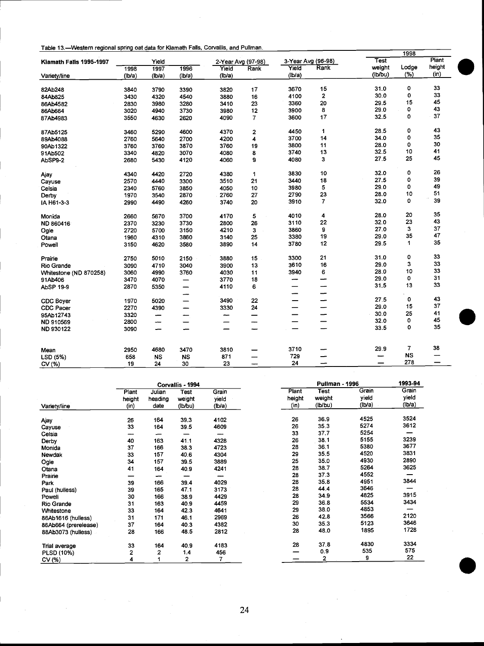|  |  |  |  | Table 13.—Western regional spring oat data for Klamath Falls, Corvallis, and Pullman. |  |
|--|--|--|--|---------------------------------------------------------------------------------------|--|
|  |  |  |  |                                                                                       |  |

|                         |        |           |                          |                    |                |                    |                |             | 1998      |        |
|-------------------------|--------|-----------|--------------------------|--------------------|----------------|--------------------|----------------|-------------|-----------|--------|
| Klamath Falls 1995-1997 | Yield  |           |                          | 2-Year Avg (97-98) |                | 3-Year Avg (96-98) |                | <b>Test</b> |           | Plant  |
|                         | 1998   | 1997      | 1996                     | Yield              | Rank           | Yield              | Rank           | weight      | Lodge     | height |
| Variety/line            | (lb/a) | (hba)     | (lb/a)                   | (lb/a)             |                | (lb/a)             |                | (ib/bu)     | (%)       | (in)   |
|                         |        |           |                          |                    |                |                    | 15             | 31.0        | 0         | 33     |
| 82Ab248                 | 3840   | 3790      | 3390                     | 3820               | 17             | 3670               |                | 30.0        | 0         | 33     |
| 84Ab825                 | 3430   | 4320      | 4540                     | 3880               | 16             | 4100               | $\mathbf 2$    |             |           | 45     |
| 86Ab4582                | 2830   | 3980      | 3280                     | 3410               | 23             | 3360               | 20             | 29.5        | 15        |        |
| 86Ab664                 | 3020   | 4940      | 3730                     | 3980               | 12             | 3900               | 8              | 29.0        | 0         | 43     |
| 87Ab4983                | 3550   | 4630      | 2620                     | 4090               | $\overline{7}$ | 3600               | 17             | 32.5        | 0         | 37     |
| 87Ab5125                | 3460   | 5290      | 4600                     | 4370               | 2              | 4450               | 1              | 28.5        | 0         | 43     |
| 89Ab4088                | 2760   | 5640      | 2700                     | 4200               | 4              | 3700               | 14             | 34.0        | 0         | 35     |
| 90Ab1322                | 3760   | 3760      | 3870                     | 3760               | 19             | 3800               | 11             | 28.0        | 0         | 30     |
| 91Ab502                 | 3340   | 4820      | 3070                     | 4080               | 8              | 3740               | 13             | 32.5        | 10        | 41     |
|                         |        |           |                          |                    |                | 4080               | 3              | 27.5        | 25        | 45     |
| AbSP9-2                 | 2680   | 5430      | 4120                     | 4060               | 9              |                    |                |             |           |        |
| Ajay                    | 4340   | 4420      | 2720                     | 4380               | 1              | 3830               | 10             | 32.0        | 0         | 26     |
| Cayuse                  | 2570   | 4440      | 3300                     | 3510               | 21             | 3440               | 18             | 27.5        | 0         | 39     |
| Celsia                  | 2340   | 5760      | 3850                     | 4050               | 10             | 3980               | 5              | 29.0        | O         | 49     |
| Derby                   | 1970   | 3540      | 2870                     | 2760               | 27             | 2790               | 23             | 28.0        | 10        | 51     |
| IA H61-3-3              | 2990   | 4490      | 4260                     | 3740               | 20             | 3910               | $\overline{7}$ | 32.0        | 0         | 39     |
| Monida                  | 2660   | 5670      | 3700                     | 4170               | 5              | 4010               | 4              | 28.0        | 20        | 35     |
| ND 860416               | 2370   | 3230      | 3730                     | 2800               | 26             | 3110               | 22             | 32.0        | 23        | 43     |
|                         | 2720   | 5700      | 3150                     | 4210               | 3              | 3860               | 9              | 27.0        | 3         | 37     |
| Ogle                    |        |           |                          |                    |                | 3380               | 19             | 29.0        | 35        | 47     |
| Otana                   | 1960   | 4310      | 3860                     | 3140               | 25             |                    |                | 29.5        | 1         | 35     |
| Powell                  | 3150   | 4620      | 3580                     | 3890               | 14             | 3780               | 12             |             |           |        |
| Prairie                 | 2750   | 5010      | 2150                     | 3880               | 15             | 3300               | 21             | 31.0        | 0         | 33     |
| Rio Grande              | 3090   | 4710      | 3040                     | 3900               | 13             | 3610               | 16             | 29.0        | 3         | 33     |
| Whitestone (ND 870258)  | 3060   | 4990      | 3760                     | 4030               | 11             | 3940               | 6              | 28.0        | 10        | 33     |
| 91Ab406                 | 3470   | 4070      | —                        | 3770               | 18             |                    |                | 29.0        | 0         | 31     |
| AbSP 19-9               | 2870   | 5350      | —                        | 4110               | 6              |                    | -              | 31.5        | 13        | 33     |
|                         |        |           | بصب                      |                    |                | ╼                  | -              |             |           |        |
| <b>CDC Boyer</b>        | 1970   | 5020      | $\overline{\phantom{0}}$ | 3490               | 22             | —                  | -              | 27.5        | 0         | 43     |
| CDC Pacer               | 2270   | 4390      | —                        | 3330               | 24             |                    | -              | 29.0        | 15        | 37     |
| 95Ab12743               | 3320   | -         | -                        |                    |                | —                  | -              | 30.0        | 25        | 41     |
|                         |        |           |                          |                    |                | –                  |                | 32.0        | 0         | 45     |
| ND 910569               | 2800   | -         | $\overline{\phantom{0}}$ | –                  | --             |                    |                | 33.5        | 0         | 35     |
| ND 930122               | 3090   |           | -                        | -                  |                |                    | -              |             |           |        |
| Mean                    | 2950   | 4680      | 3470                     | 3810               |                | 3710               |                | 29.9        | 7         | 38     |
| LSD (5%)                | 658    | <b>NS</b> |                          | 871                |                | 729                |                |             | <b>NS</b> |        |
|                         |        |           | <b>NS</b>                |                    |                | 24                 |                |             | 278       |        |
| CV (%)                  | 19     | 24        | 30                       | 23                 |                |                    | -              |             |           |        |

|                      |        |         | Corvallis - 1994 |       |        | 1993-94 |        |       |
|----------------------|--------|---------|------------------|-------|--------|---------|--------|-------|
|                      | Plant  | Julian  | Test             | Grain | Plant  | Test    | Grain  | Grain |
|                      | height | heading | weight           | yield | height | weight  | yield  | yield |
| Variety/line         | (in)   | date    | (lb/bu)          | (b/a) | (in)   | (lb/bu) | (lb/a) | (lba) |
|                      |        |         |                  |       |        |         |        |       |
| Ajay                 | 26     | 164     | 39,3             | 4102  | 26     | 36.9    | 4525   | 3524  |
| Cayuse               | 33     | 164     | 39.5             | 4609  | 26     | 35.3    | 5274   | 3612  |
| Celsia               |        | -       |                  | --    | 33     | 37.7    | 5254   |       |
| Derby                | 40     | 163     | 41.1             | 4328  | 26     | 38.1    | 5155   | 3239  |
| Monida               | 37     | 166     | 38.3             | 4723  | 28     | 36.1    | 5380   | 3677  |
| Newdak               | 33     | 157     | 40.6             | 4304  | 29     | 35.5    | 4520   | 3831  |
| Ogle                 | 34     | 157     | 39.5             | 3889  | 25     | 35.0    | 4930   | 2890  |
| Otana                | 41     | 164     | 40.9             | 4241  | 28     | 38.7    | 5264   | 3625  |
| Prairie              |        | -       |                  |       | 28     | 37.3    | 4552   |       |
| Park                 | 39     | 166     | 39.4             | 4029  | 28     | 35.8    | 4951   | 3844  |
| Paul (hulless)       | 39     | 165     | 47.1             | 3173  | 28     | 44.4    | 3646   |       |
| Powell               | 30     | 166     | 38.9             | 4429  | 28     | 34.9    | 4825   | 3915  |
| Rio Grande           | 31     | 163     | 40.9             | 4459  | 29     | 36.8    | 5534   | 3434  |
| Whitestone           | 33     | 164     | 42.3             | 4641  | 29     | 38.0    | 4853   |       |
| 86Ab1616 (hulless)   | 31     | 171     | 46.1             | 2969  | 26     | 42.8    | 3566   | 2120  |
| 86Ab664 (prerelease) | 37     | 164     | 40.3             | 4382  | 30     | 35.3    | 5123   | 3646  |
| 88Ab3073 (hulless)   | 28     | 166     | 48.5             | 2812  | 28     | 48.0    | 1895   | 1728  |
|                      |        |         |                  |       |        |         |        |       |
| Trial average        | 33     | 164     | 40.9             | 4183  | 28     | 37.8    | 4830   | 3334  |
| PLSD (10%)           | 2      | 2       | 1.4              | 456   |        | 0.9     | 535    | 575   |
| CV (%)               |        |         | 2                |       |        | 2       | 9      | 22    |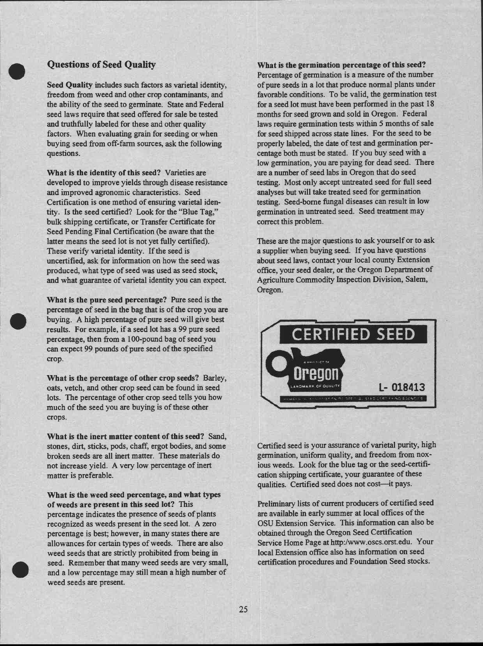## Questions of Seed Quality

Seed **Quality** includes such factors as varietal identity, freedom from weed and other crop contaminants, and the ability of the seed to germinate. State and Federal seed laws require that seed offered for sale be tested and truthfully labeled for these and other quality factors. When evaluating grain for seeding or when buying seed from off-farm sources, ask the following questions.

What is the identity of this seed? Varieties are developed to improve yields through disease resistance and improved agronomic characteristics. Seed Certification is one method of ensuring varietal identity. Is the seed certified? Look for the "Blue Tag," bulk shipping certificate, or Transfer Certificate for Seed Pending Final Certification (be aware that the latter means the seed lot is not yet fully certified). These verify varietal identity. If the seed is uncertified, ask for information on how the seed was produced, what type of seed was used as seed stock, and what guarantee of varietal identity you can expect.

What is the pure seed percentage? Pure seed is the percentage of seed in the bag that is of the crop you are buying. A high percentage of pure seed will give best results. For example, if a seed lot has a 99 pure seed percentage, then from a 100-pound bag of seed you can expect 99 pounds of pure seed of the specified crop.

What is the percentage of other crop seeds? Barley, oats, vetch, and other crop seed can be found in seed lots. The percentage of other crop seed tells you how much of the seed you are buying is of these other crops.

What is the inert matter content of this seed? Sand, stones, dirt, sticks, pods, chaff, ergot bodies, and some broken seeds are all inert matter. These materials do not increase yield. A very low percentage of inert matter is preferable.

What is the weed seed percentage, and what types of weeds are present in this seed lot? This percentage indicates the presence of seeds of plants recognized as weeds present in the seed lot. A zero percentage is best; however, in many states there are allowances for certain types of weeds. There are also weed seeds that are strictly prohibited from being in seed. Remember that many weed seeds are very small, and a low percentage may still mean a high number of weed seeds are present.

#### What is the germination percentage of this seed?

Percentage of germination is a measure of the number of pure seeds in a lot that produce normal plants under favorable conditions. To be valid, the germination test for a seed lot must have been performed in the past 18 months for seed grown and sold in Oregon. Federal laws require germination tests within 5 months of sale for seed shipped across state lines. For the seed to be properly labeled, the date of test and germination percentage both must be stated. If you buy seed with a low germination, you are paying for dead seed. There are a number of seed labs in Oregon that do seed testing. Most only accept untreated seed for full seed analyses but will take treated seed for germination testing. Seed-borne fungal diseases can result in low germination in untreated seed. Seed treatment may correct this problem.

These are the major questions to ask yourself or to ask a supplier when buying seed. If you have questions about seed laws, contact your local county Extension office, your seed dealer, or the Oregon Department of Agriculture Commodity Inspection Division, Salem, Oregon.



Certified seed is your assurance of varietal purity, high germination, uniform quality, and freedom from noxious weeds. Look for the blue tag or the seed-certification shipping certificate, your guarantee of these qualities. Certified seed does not cost-it pays.

Preliminary lists of current producers of certified seed are available in early summer at local offices of the OSU Extension Service. This information can also be obtained through the Oregon Seed Certification Service Home Page at http:/www.oscs.orst.edu. Your local Extension office also has information on seed certification procedures and Foundation Seed stocks.